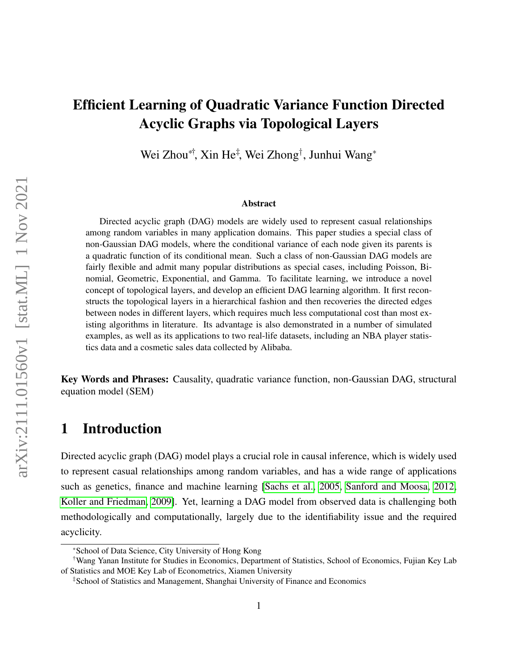# Efficient Learning of Quadratic Variance Function Directed Acyclic Graphs via Topological Layers

Wei Zhou<sup>∗†</sup>, Xin He<sup>‡</sup>, Wei Zhong<sup>†</sup>, Junhui Wang<sup>∗</sup>

#### Abstract

Directed acyclic graph (DAG) models are widely used to represent casual relationships among random variables in many application domains. This paper studies a special class of non-Gaussian DAG models, where the conditional variance of each node given its parents is a quadratic function of its conditional mean. Such a class of non-Gaussian DAG models are fairly flexible and admit many popular distributions as special cases, including Poisson, Binomial, Geometric, Exponential, and Gamma. To facilitate learning, we introduce a novel concept of topological layers, and develop an efficient DAG learning algorithm. It first reconstructs the topological layers in a hierarchical fashion and then recoveries the directed edges between nodes in different layers, which requires much less computational cost than most existing algorithms in literature. Its advantage is also demonstrated in a number of simulated examples, as well as its applications to two real-life datasets, including an NBA player statistics data and a cosmetic sales data collected by Alibaba.

Key Words and Phrases: Causality, quadratic variance function, non-Gaussian DAG, structural equation model (SEM)

## 1 Introduction

Directed acyclic graph (DAG) model plays a crucial role in causal inference, which is widely used to represent casual relationships among random variables, and has a wide range of applications such as genetics, finance and machine learning [\[Sachs et al., 2005,](#page-23-0) [Sanford and Moosa, 2012,](#page-23-1) [Koller and Friedman, 2009\]](#page-22-0). Yet, learning a DAG model from observed data is challenging both methodologically and computationally, largely due to the identifiability issue and the required acyclicity.

<sup>\*</sup>School of Data Science, City University of Hong Kong

<sup>†</sup>Wang Yanan Institute for Studies in Economics, Department of Statistics, School of Economics, Fujian Key Lab of Statistics and MOE Key Lab of Econometrics, Xiamen University

<sup>‡</sup>School of Statistics and Management, Shanghai University of Finance and Economics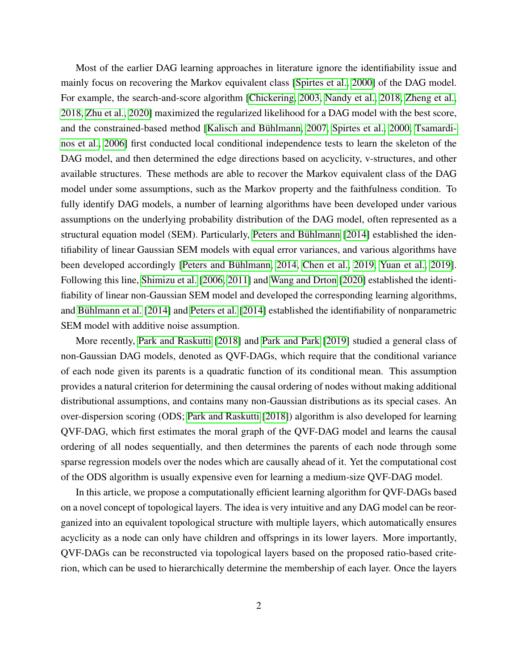Most of the earlier DAG learning approaches in literature ignore the identifiability issue and mainly focus on recovering the Markov equivalent class [\[Spirtes et al., 2000\]](#page-23-2) of the DAG model. For example, the search-and-score algorithm [\[Chickering, 2003,](#page-22-1) [Nandy et al., 2018,](#page-23-3) [Zheng et al.,](#page-24-0) [2018,](#page-24-0) [Zhu et al., 2020\]](#page-24-1) maximized the regularized likelihood for a DAG model with the best score, and the constrained-based method [Kalisch and Bühlmann, 2007, [Spirtes et al., 2000,](#page-23-2) [Tsamardi](#page-24-2) [nos et al., 2006\]](#page-24-2) first conducted local conditional independence tests to learn the skeleton of the DAG model, and then determined the edge directions based on acyclicity, v-structures, and other available structures. These methods are able to recover the Markov equivalent class of the DAG model under some assumptions, such as the Markov property and the faithfulness condition. To fully identify DAG models, a number of learning algorithms have been developed under various assumptions on the underlying probability distribution of the DAG model, often represented as a structural equation model (SEM). Particularly, Peters and Bühlmann [\[2014\]](#page-23-4) established the identifiability of linear Gaussian SEM models with equal error variances, and various algorithms have been developed accordingly [Peters and Bühlmann, 2014, [Chen et al., 2019,](#page-22-3) [Yuan et al., 2019\]](#page-24-3). Following this line, [Shimizu et al.](#page-23-5) [\[2006,](#page-23-5) [2011\]](#page-23-6) and [Wang and Drton](#page-24-4) [\[2020\]](#page-24-4) established the identifiability of linear non-Gaussian SEM model and developed the corresponding learning algorithms, and Bühlmann et al. [\[2014\]](#page-23-7) and [Peters et al.](#page-23-7) [2014] established the identifiability of nonparametric SEM model with additive noise assumption.

More recently, [Park and Raskutti](#page-23-8) [\[2018\]](#page-23-8) and [Park and Park](#page-23-9) [\[2019\]](#page-23-9) studied a general class of non-Gaussian DAG models, denoted as QVF-DAGs, which require that the conditional variance of each node given its parents is a quadratic function of its conditional mean. This assumption provides a natural criterion for determining the causal ordering of nodes without making additional distributional assumptions, and contains many non-Gaussian distributions as its special cases. An over-dispersion scoring (ODS; [Park and Raskutti](#page-23-8) [\[2018\]](#page-23-8)) algorithm is also developed for learning QVF-DAG, which first estimates the moral graph of the QVF-DAG model and learns the causal ordering of all nodes sequentially, and then determines the parents of each node through some sparse regression models over the nodes which are causally ahead of it. Yet the computational cost of the ODS algorithm is usually expensive even for learning a medium-size QVF-DAG model.

In this article, we propose a computationally efficient learning algorithm for QVF-DAGs based on a novel concept of topological layers. The idea is very intuitive and any DAG model can be reorganized into an equivalent topological structure with multiple layers, which automatically ensures acyclicity as a node can only have children and offsprings in its lower layers. More importantly, QVF-DAGs can be reconstructed via topological layers based on the proposed ratio-based criterion, which can be used to hierarchically determine the membership of each layer. Once the layers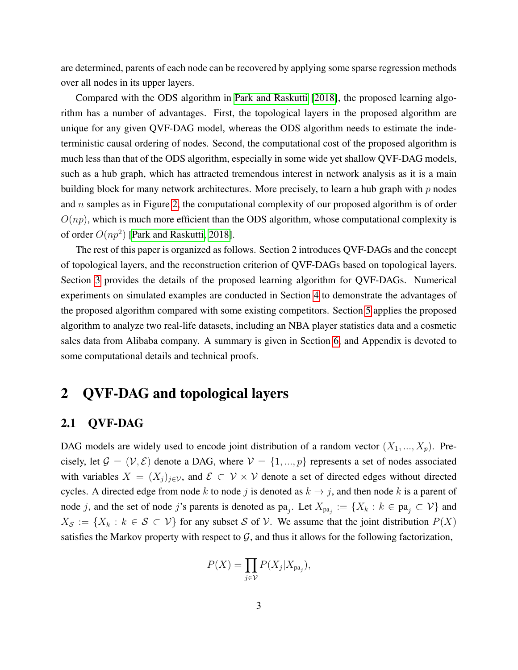are determined, parents of each node can be recovered by applying some sparse regression methods over all nodes in its upper layers.

Compared with the ODS algorithm in [Park and Raskutti](#page-23-8) [\[2018\]](#page-23-8), the proposed learning algorithm has a number of advantages. First, the topological layers in the proposed algorithm are unique for any given QVF-DAG model, whereas the ODS algorithm needs to estimate the indeterministic causal ordering of nodes. Second, the computational cost of the proposed algorithm is much less than that of the ODS algorithm, especially in some wide yet shallow QVF-DAG models, such as a hub graph, which has attracted tremendous interest in network analysis as it is a main building block for many network architectures. More precisely, to learn a hub graph with  $p$  nodes and  $n$  samples as in Figure [2,](#page-10-0) the computational complexity of our proposed algorithm is of order  $O(np)$ , which is much more efficient than the ODS algorithm, whose computational complexity is of order  $O(np^2)$  [\[Park and Raskutti, 2018\]](#page-23-8).

The rest of this paper is organized as follows. Section 2 introduces QVF-DAGs and the concept of topological layers, and the reconstruction criterion of QVF-DAGs based on topological layers. Section [3](#page-6-0) provides the details of the proposed learning algorithm for QVF-DAGs. Numerical experiments on simulated examples are conducted in Section [4](#page-9-0) to demonstrate the advantages of the proposed algorithm compared with some existing competitors. Section [5](#page-15-0) applies the proposed algorithm to analyze two real-life datasets, including an NBA player statistics data and a cosmetic sales data from Alibaba company. A summary is given in Section [6,](#page-19-0) and Appendix is devoted to some computational details and technical proofs.

# 2 QVF-DAG and topological layers

### 2.1 QVF-DAG

DAG models are widely used to encode joint distribution of a random vector  $(X_1, ..., X_p)$ . Precisely, let  $\mathcal{G} = (\mathcal{V}, \mathcal{E})$  denote a DAG, where  $\mathcal{V} = \{1, ..., p\}$  represents a set of nodes associated with variables  $X = (X_j)_{j \in \mathcal{V}}$ , and  $\mathcal{E} \subset \mathcal{V} \times \mathcal{V}$  denote a set of directed edges without directed cycles. A directed edge from node k to node j is denoted as  $k \rightarrow j$ , and then node k is a parent of node j, and the set of node j's parents is denoted as  $pa_j$ . Let  $X_{pa_j} := \{X_k : k \in pa_j \subset \mathcal{V}\}\$ and  $X_{\mathcal{S}} := \{X_k : k \in \mathcal{S} \subset \mathcal{V}\}\$  for any subset S of V. We assume that the joint distribution  $P(X)$ satisfies the Markov property with respect to  $G$ , and thus it allows for the following factorization,

$$
P(X) = \prod_{j \in \mathcal{V}} P(X_j | X_{\mathbf{pa}_j}),
$$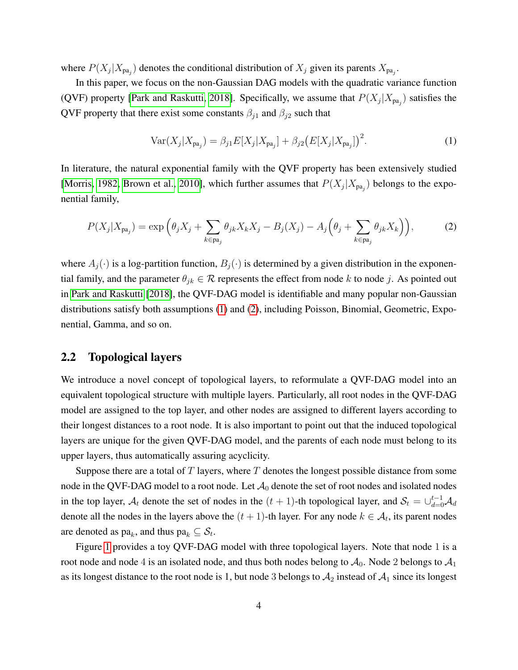where  $P(X_j | X_{pa_j})$  denotes the conditional distribution of  $X_j$  given its parents  $X_{pa_j}$ .

In this paper, we focus on the non-Gaussian DAG models with the quadratic variance function (QVF) property [\[Park and Raskutti, 2018\]](#page-23-8). Specifically, we assume that  $P(X_j|X_{pa_j})$  satisfies the QVF property that there exist some constants  $\beta_{j1}$  and  $\beta_{j2}$  such that

<span id="page-3-0"></span>
$$
Var(X_j|X_{pa_j}) = \beta_{j1}E[X_j|X_{pa_j}] + \beta_{j2}(E[X_j|X_{pa_j}])^2.
$$
 (1)

In literature, the natural exponential family with the QVF property has been extensively studied [\[Morris, 1982,](#page-23-10) [Brown et al., 2010\]](#page-22-5), which further assumes that  $P(X_j|X_{pa_j})$  belongs to the exponential family,

<span id="page-3-1"></span>
$$
P(X_j|X_{\mathbf{pa}_j}) = \exp\left(\theta_j X_j + \sum_{k \in \mathbf{pa}_j} \theta_{jk} X_k X_j - B_j(X_j) - A_j\left(\theta_j + \sum_{k \in \mathbf{pa}_j} \theta_{jk} X_k\right)\right),\tag{2}
$$

where  $A_i(\cdot)$  is a log-partition function,  $B_i(\cdot)$  is determined by a given distribution in the exponential family, and the parameter  $\theta_{jk} \in \mathcal{R}$  represents the effect from node k to node j. As pointed out in [Park and Raskutti](#page-23-8) [\[2018\]](#page-23-8), the QVF-DAG model is identifiable and many popular non-Gaussian distributions satisfy both assumptions [\(1\)](#page-3-0) and [\(2\)](#page-3-1), including Poisson, Binomial, Geometric, Exponential, Gamma, and so on.

#### <span id="page-3-2"></span>2.2 Topological layers

We introduce a novel concept of topological layers, to reformulate a QVF-DAG model into an equivalent topological structure with multiple layers. Particularly, all root nodes in the QVF-DAG model are assigned to the top layer, and other nodes are assigned to different layers according to their longest distances to a root node. It is also important to point out that the induced topological layers are unique for the given QVF-DAG model, and the parents of each node must belong to its upper layers, thus automatically assuring acyclicity.

Suppose there are a total of T layers, where T denotes the longest possible distance from some node in the QVF-DAG model to a root node. Let  $A_0$  denote the set of root nodes and isolated nodes in the top layer,  $A_t$  denote the set of nodes in the  $(t + 1)$ -th topological layer, and  $S_t = \bigcup_{d=0}^{t-1} A_d$ denote all the nodes in the layers above the  $(t + 1)$ -th layer. For any node  $k \in A_t$ , its parent nodes are denoted as  $\text{pa}_k$ , and thus  $\text{pa}_k \subseteq \mathcal{S}_t$ .

Figure [1](#page-4-0) provides a toy QVF-DAG model with three topological layers. Note that node 1 is a root node and node 4 is an isolated node, and thus both nodes belong to  $A_0$ . Node 2 belongs to  $A_1$ as its longest distance to the root node is 1, but node 3 belongs to  $A_2$  instead of  $A_1$  since its longest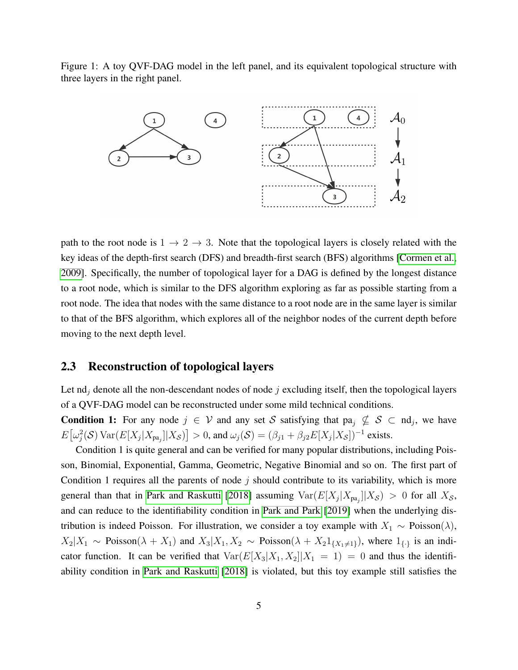<span id="page-4-0"></span>Figure 1: A toy QVF-DAG model in the left panel, and its equivalent topological structure with three layers in the right panel.



path to the root node is  $1 \rightarrow 2 \rightarrow 3$ . Note that the topological layers is closely related with the key ideas of the depth-first search (DFS) and breadth-first search (BFS) algorithms [\[Cormen et al.,](#page-22-6) [2009\]](#page-22-6). Specifically, the number of topological layer for a DAG is defined by the longest distance to a root node, which is similar to the DFS algorithm exploring as far as possible starting from a root node. The idea that nodes with the same distance to a root node are in the same layer is similar to that of the BFS algorithm, which explores all of the neighbor nodes of the current depth before moving to the next depth level.

#### 2.3 Reconstruction of topological layers

Let  $\text{nd}_i$  denote all the non-descendant nodes of node j excluding itself, then the topological layers of a QVF-DAG model can be reconstructed under some mild technical conditions.

**Condition 1:** For any node  $j \in V$  and any set S satisfying that  $pa_j \nsubseteq S \subset nd_j$ , we have  $E\big[\omega_j^2(\mathcal{S})\text{Var}(E[X_j|X_{\text{pa}_j}]|X_{\mathcal{S}})\big] > 0$ , and  $\omega_j(\mathcal{S}) = (\beta_{j1} + \beta_{j2}E[X_j|X_{\mathcal{S}}])^{-1}$  exists.

Condition 1 is quite general and can be verified for many popular distributions, including Poisson, Binomial, Exponential, Gamma, Geometric, Negative Binomial and so on. The first part of Condition 1 requires all the parents of node  $j$  should contribute to its variability, which is more general than that in [Park and Raskutti](#page-23-8) [\[2018\]](#page-23-8) assuming  $Var(E[X_j|X_{pa_j}]|X_{\mathcal{S}}) > 0$  for all  $X_{\mathcal{S}}$ , and can reduce to the identifiability condition in [Park and Park](#page-23-9) [\[2019\]](#page-23-9) when the underlying distribution is indeed Poisson. For illustration, we consider a toy example with  $X_1 \sim \text{Poisson}(\lambda)$ ,  $X_2|X_1 \sim \text{Poisson}(\lambda + X_1)$  and  $X_3|X_1, X_2 \sim \text{Poisson}(\lambda + X_2 1_{\{X_1 \neq 1\}})$ , where  $1_{\{\cdot\}}$  is an indicator function. It can be verified that  $Var(E[X_3|X_1, X_2]|X_1 = 1) = 0$  and thus the identifiability condition in [Park and Raskutti](#page-23-8) [\[2018\]](#page-23-8) is violated, but this toy example still satisfies the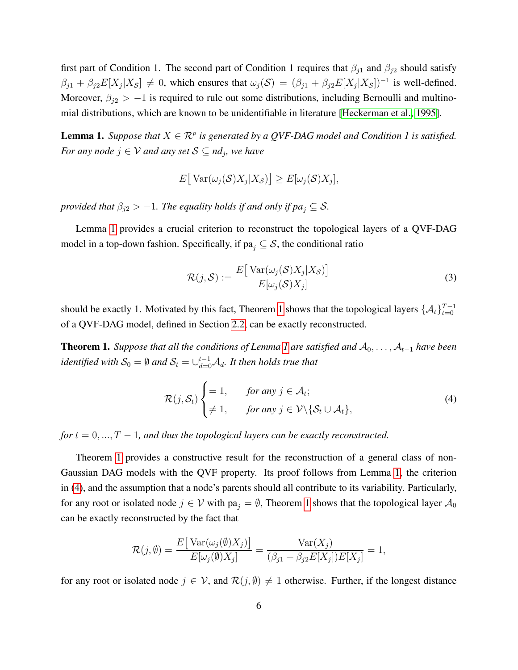first part of Condition 1. The second part of Condition 1 requires that  $\beta_{j1}$  and  $\beta_{j2}$  should satisfy  $\beta_{j1} + \beta_{j2} E[X_j|X_{\mathcal{S}}] \neq 0$ , which ensures that  $\omega_j(\mathcal{S}) = (\beta_{j1} + \beta_{j2} E[X_j|X_{\mathcal{S}}])^{-1}$  is well-defined. Moreover,  $\beta_{i2} > -1$  is required to rule out some distributions, including Bernoulli and multinomial distributions, which are known to be unidentifiable in literature [\[Heckerman et al., 1995\]](#page-22-7).

<span id="page-5-0"></span>**Lemma 1.** Suppose that  $X \in \mathbb{R}^p$  is generated by a QVF-DAG model and Condition 1 is satisfied. *For any node*  $j \in V$  *and any set*  $S \subseteq nd_j$ *, we have* 

$$
E[\text{Var}(\omega_j(\mathcal{S})X_j|X_{\mathcal{S}})] \ge E[\omega_j(\mathcal{S})X_j],
$$

*provided that*  $\beta_{j2} > -1$ *. The equality holds if and only if pa*<sub>j</sub>  $\subseteq$  *S.* 

Lemma [1](#page-5-0) provides a crucial criterion to reconstruct the topological layers of a QVF-DAG model in a top-down fashion. Specifically, if  $pa_j \subseteq S$ , the conditional ratio

$$
\mathcal{R}(j,\mathcal{S}) := \frac{E\big[\operatorname{Var}(\omega_j(\mathcal{S})X_j|X_{\mathcal{S}})\big]}{E[\omega_j(\mathcal{S})X_j]}
$$
(3)

should be exactly [1](#page-5-1). Motivated by this fact, Theorem 1 shows that the topological layers  $\{\mathcal{A}_t\}_{t=0}^{T-1}$ of a QVF-DAG model, defined in Section [2.2,](#page-3-2) can be exactly reconstructed.

<span id="page-5-1"></span>**Theorem [1](#page-5-0).** *Suppose that all the conditions of Lemma 1 are satisfied and*  $A_0, \ldots, A_{t-1}$  *have been* identified with  $\mathcal{S}_0 = \emptyset$  and  $\mathcal{S}_t = \cup_{d=0}^{t-1} \mathcal{A}_d$ . It then holds true that

<span id="page-5-2"></span>
$$
\mathcal{R}(j, \mathcal{S}_t) \begin{cases} = 1, & \text{for any } j \in \mathcal{A}_t; \\ \neq 1, & \text{for any } j \in \mathcal{V} \setminus \{ \mathcal{S}_t \cup \mathcal{A}_t \}, \end{cases} \tag{4}
$$

*for*  $t = 0, ..., T - 1$ *, and thus the topological layers can be exactly reconstructed.* 

Theorem [1](#page-5-1) provides a constructive result for the reconstruction of a general class of non-Gaussian DAG models with the QVF property. Its proof follows from Lemma [1,](#page-5-0) the criterion in [\(4\)](#page-5-2), and the assumption that a node's parents should all contribute to its variability. Particularly, for any root or isolated node  $j \in V$  with pa<sub>i</sub> =  $\emptyset$ , Theorem [1](#page-5-1) shows that the topological layer  $\mathcal{A}_0$ can be exactly reconstructed by the fact that

$$
\mathcal{R}(j,\emptyset) = \frac{E\big[\operatorname{Var}(\omega_j(\emptyset)X_j)\big]}{E[\omega_j(\emptyset)X_j]} = \frac{\operatorname{Var}(X_j)}{(\beta_{j1} + \beta_{j2}E[X_j])E[X_j]} = 1,
$$

for any root or isolated node  $j \in V$ , and  $\mathcal{R}(j, \emptyset) \neq 1$  otherwise. Further, if the longest distance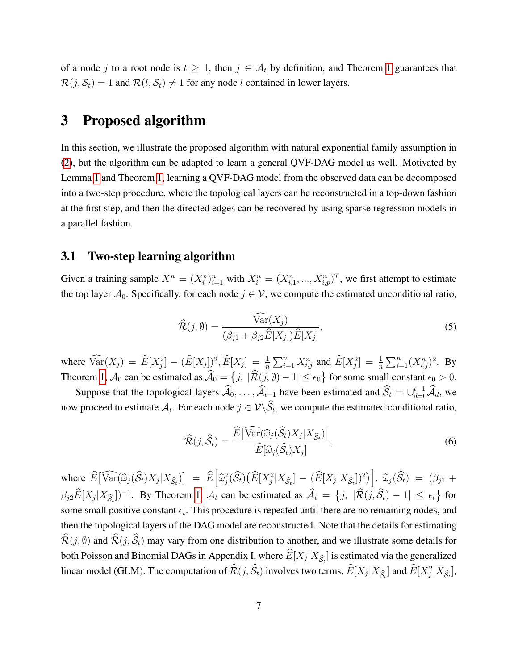of a node j to a root node is  $t \geq 1$  $t \geq 1$ , then  $j \in A_t$  by definition, and Theorem 1 guarantees that  $\mathcal{R}(j, \mathcal{S}_t) = 1$  and  $\mathcal{R}(l, \mathcal{S}_t) \neq 1$  for any node l contained in lower layers.

### <span id="page-6-0"></span>3 Proposed algorithm

In this section, we illustrate the proposed algorithm with natural exponential family assumption in [\(2\)](#page-3-1), but the algorithm can be adapted to learn a general QVF-DAG model as well. Motivated by Lemma [1](#page-5-0) and Theorem [1,](#page-5-1) learning a QVF-DAG model from the observed data can be decomposed into a two-step procedure, where the topological layers can be reconstructed in a top-down fashion at the first step, and then the directed edges can be recovered by using sparse regression models in a parallel fashion.

#### 3.1 Two-step learning algorithm

Given a training sample  $X^n = (X_i^n)_{i=1}^n$  with  $X_i^n = (X_{i,1}^n, ..., X_{i,p}^n)^T$ , we first attempt to estimate the top layer  $A_0$ . Specifically, for each node  $j \in V$ , we compute the estimated unconditional ratio,

$$
\widehat{\mathcal{R}}(j,\emptyset) = \frac{\widehat{\text{Var}}(X_j)}{(\beta_{j1} + \beta_{j2}\widehat{E}[X_j])\widehat{E}[X_j]},\tag{5}
$$

where  $\widehat{\text{Var}}(X_j) = \widehat{E}[X_j^2] - (\widehat{E}[X_j])^2, \widehat{E}[X_j] = \frac{1}{n} \sum_{i=1}^n X_{i,j}^n$  and  $\widehat{E}[X_j^2] = \frac{1}{n} \sum_{i=1}^n (X_{i,j}^n)^2$ . By Theorem [1,](#page-5-1)  $\mathcal{A}_0$  can be estimated as  $\mathcal{A}_0 = \{j, |\mathcal{R}(j, \emptyset) - 1| \le \epsilon_0\}$  for some small constant  $\epsilon_0 > 0$ .

Suppose that the topological layers  $\widehat{A}_0, \ldots, \widehat{A}_{t-1}$  have been estimated and  $\widehat{S}_t = \bigcup_{d=0}^{t-1} \widehat{A}_d$ , we now proceed to estimate  $A_t$ . For each node  $j \in \mathcal{V} \backslash \mathcal{S}_t$ , we compute the estimated conditional ratio,

$$
\widehat{\mathcal{R}}(j,\widehat{\mathcal{S}}_t) = \frac{\widehat{E}[\widehat{\text{Var}}(\widehat{\omega}_j(\widehat{\mathcal{S}}_t)X_j|X_{\widehat{\mathcal{S}}_t})]}{\widehat{E}[\widehat{\omega}_j(\widehat{\mathcal{S}}_t)X_j]},
$$
\n(6)

where  $\widehat{E}[\widehat{\text{Var}}(\widehat{\omega}_j(\widehat{S}_t)X_j|X_{\widehat{S}_t})] = \widehat{E}[\widehat{\omega}_j^2(\widehat{S}_t)(\widehat{E}[X_j^2|X_{\widehat{S}_t}] - (\widehat{E}[X_j|X_{\widehat{S}_t}])^2)], \widehat{\omega}_j(\widehat{S}_t) = (\beta_{j1} + \widehat{\beta}_{j1})^2$  $\beta_{j2}\widehat{E}[X_j|X_{\widehat{S}_t}])^{-1}$ . By Theorem [1,](#page-5-1)  $\mathcal{A}_t$  can be estimated as  $\widehat{\mathcal{A}}_t = \{j, |\widehat{\mathcal{R}}(j,\widehat{\mathcal{S}}_t) - 1| \le \epsilon_t\}$  for some small positive constant  $\epsilon_t$ . This procedure is repeated until there are no remaining nodes, and then the topological layers of the DAG model are reconstructed. Note that the details for estimating  $\widehat{\mathcal{R}}(j, \emptyset)$  and  $\widehat{\mathcal{R}}(j, \widehat{\mathcal{S}}_t)$  may vary from one distribution to another, and we illustrate some details for both Poisson and Binomial DAGs in Appendix I, where  $E[X_j | X_{\hat{S}_t}]$  is estimated via the generalized linear model (GLM). The computation of  $\widehat{\mathcal{R}}(j, \widehat{\mathcal{S}}_t)$  involves two terms,  $\widehat{E}[X_j|X_{\widehat{\mathcal{S}}_t}]$  and  $\widehat{E}[X_j^2|X_{\widehat{\mathcal{S}}_t}]$ ,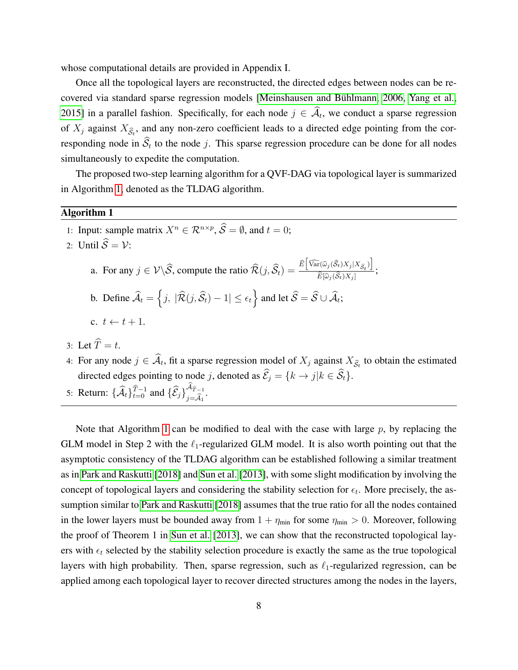whose computational details are provided in Appendix I.

Once all the topological layers are reconstructed, the directed edges between nodes can be re-covered via standard sparse regression models [Meinshausen and Bühlmann, 2006, [Yang et al.,](#page-24-5) [2015\]](#page-24-5) in a parallel fashion. Specifically, for each node  $j \in A_t$ , we conduct a sparse regression of  $X_j$  against  $X_{\hat{S}_t}$ , and any non-zero coefficient leads to a directed edge pointing from the corresponding node in  $S_t$  to the node j. This sparse regression procedure can be done for all nodes simultaneously to expedite the computation.

The proposed two-step learning algorithm for a QVF-DAG via topological layer is summarized in Algorithm [1,](#page-7-0) denoted as the TLDAG algorithm.

#### <span id="page-7-0"></span>Algorithm 1

- 1: Input: sample matrix  $X^n \in \mathbb{R}^{n \times p}$ ,  $\widehat{S} = \emptyset$ , and  $t = 0$ ;
- 2: Until  $\widehat{S} = \mathcal{V}$ :
	- a. For any  $j \in \mathcal{V} \setminus \widehat{S}$ , compute the ratio  $\widehat{\mathcal{R}}(j, \widehat{S}_t) = \frac{\widehat{E} \left[ \widehat{\text{Var}}(\widehat{\omega}_j(\widehat{S}_t) X_j | X_{\widehat{S}_t}) \right]}{\widehat{E}[\widehat{\omega}_j(\widehat{S}_t) X_j]}$  $E[\widehat{\omega}_j(\mathcal{S}_t)X_j]$ ;
	- b. Define  $\widehat{\mathcal{A}}_t = \left\{ j, \, |\widehat{\mathcal{R}}(j, \widehat{\mathcal{S}}_t) 1| \le \epsilon_t \right\}$  and let  $\widehat{\mathcal{S}} = \widehat{\mathcal{S}} \cup \widehat{\mathcal{A}}_t$ ;
	- c.  $t \leftarrow t + 1$ .
- 3: Let  $\widehat{T} = t$ .
- 4: For any node  $j \in A_t$ , fit a sparse regression model of  $X_j$  against  $X_{\hat{S}_t}$  to obtain the estimated directed edges pointing to node j, denoted as  $\widehat{\mathcal{E}}_j = \{k \to j | k \in \widehat{\mathcal{S}}_t\}.$
- 5: Return:  $\{\widehat{\mathcal{A}}_t\}_{t=0}^{\widehat{T}-1}$  and  $\{\widehat{\mathcal{E}}_j\}_{j=\widehat{\mathcal{A}}_1}^{\mathcal{A}_{\widehat{T}-1}}$  $j = A_1$ .

Note that Algorithm [1](#page-7-0) can be modified to deal with the case with large  $p$ , by replacing the GLM model in Step 2 with the  $\ell_1$ -regularized GLM model. It is also worth pointing out that the asymptotic consistency of the TLDAG algorithm can be established following a similar treatment as in [Park and Raskutti](#page-23-8) [\[2018\]](#page-23-8) and [Sun et al.](#page-23-11) [\[2013\]](#page-23-11), with some slight modification by involving the concept of topological layers and considering the stability selection for  $\epsilon_t$ . More precisely, the assumption similar to [Park and Raskutti](#page-23-8) [\[2018\]](#page-23-8) assumes that the true ratio for all the nodes contained in the lower layers must be bounded away from  $1 + \eta_{\min}$  for some  $\eta_{\min} > 0$ . Moreover, following the proof of Theorem 1 in [Sun et al.](#page-23-11) [\[2013\]](#page-23-11), we can show that the reconstructed topological layers with  $\epsilon_t$  selected by the stability selection procedure is exactly the same as the true topological layers with high probability. Then, sparse regression, such as  $\ell_1$ -regularized regression, can be applied among each topological layer to recover directed structures among the nodes in the layers,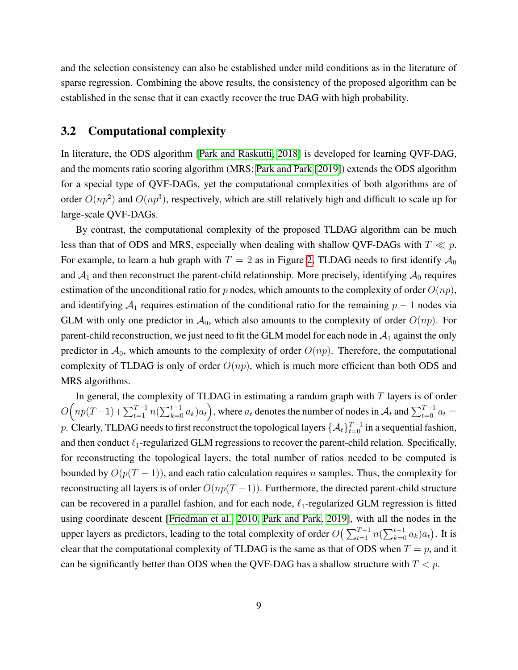and the selection consistency can also be established under mild conditions as in the literature of sparse regression. Combining the above results, the consistency of the proposed algorithm can be established in the sense that it can exactly recover the true DAG with high probability.

#### 3.2 Computational complexity

In literature, the ODS algorithm [\[Park and Raskutti, 2018\]](#page-23-8) is developed for learning QVF-DAG, and the moments ratio scoring algorithm (MRS; [Park and Park](#page-23-9) [\[2019\]](#page-23-9)) extends the ODS algorithm for a special type of QVF-DAGs, yet the computational complexities of both algorithms are of order  $O(np^2)$  and  $O(np^3)$ , respectively, which are still relatively high and difficult to scale up for large-scale QVF-DAGs.

By contrast, the computational complexity of the proposed TLDAG algorithm can be much less than that of ODS and MRS, especially when dealing with shallow QVF-DAGs with  $T \ll p$ . For example, to learn a hub graph with  $T = 2$  as in Figure [2,](#page-10-0) TLDAG needs to first identify  $\mathcal{A}_0$ and  $A_1$  and then reconstruct the parent-child relationship. More precisely, identifying  $A_0$  requires estimation of the unconditional ratio for p nodes, which amounts to the complexity of order  $O(np)$ , and identifying  $A_1$  requires estimation of the conditional ratio for the remaining  $p - 1$  nodes via GLM with only one predictor in  $A_0$ , which also amounts to the complexity of order  $O(np)$ . For parent-child reconstruction, we just need to fit the GLM model for each node in  $A_1$  against the only predictor in  $A_0$ , which amounts to the complexity of order  $O(np)$ . Therefore, the computational complexity of TLDAG is only of order  $O(np)$ , which is much more efficient than both ODS and MRS algorithms.

In general, the complexity of TLDAG in estimating a random graph with  $T$  layers is of order  $O\Big(np(T-1)+\sum_{t=1}^{T-1}n(\sum_{k=0}^{t-1}a_k)a_t\Big)$ , where  $a_t$  denotes the number of nodes in  $\mathcal{A}_t$  and  $\sum_{t=0}^{T-1}a_t=$ p. Clearly, TLDAG needs to first reconstruct the topological layers  $\{\mathcal{A}_t\}_{t=0}^{T-1}$  in a sequential fashion, and then conduct  $\ell_1$ -regularized GLM regressions to recover the parent-child relation. Specifically, for reconstructing the topological layers, the total number of ratios needed to be computed is bounded by  $O(p(T-1))$ , and each ratio calculation requires n samples. Thus, the complexity for reconstructing all layers is of order  $O(np(T-1))$ . Furthermore, the directed parent-child structure can be recovered in a parallel fashion, and for each node,  $\ell_1$ -regularized GLM regression is fitted using coordinate descent [\[Friedman et al., 2010,](#page-22-9) [Park and Park, 2019\]](#page-23-9), with all the nodes in the upper layers as predictors, leading to the total complexity of order  $O\left(\sum_{t=1}^{T-1} n(\sum_{k=0}^{t-1} a_k)a_t\right)$ . It is clear that the computational complexity of TLDAG is the same as that of ODS when  $T = p$ , and it can be significantly better than ODS when the QVF-DAG has a shallow structure with  $T < p$ .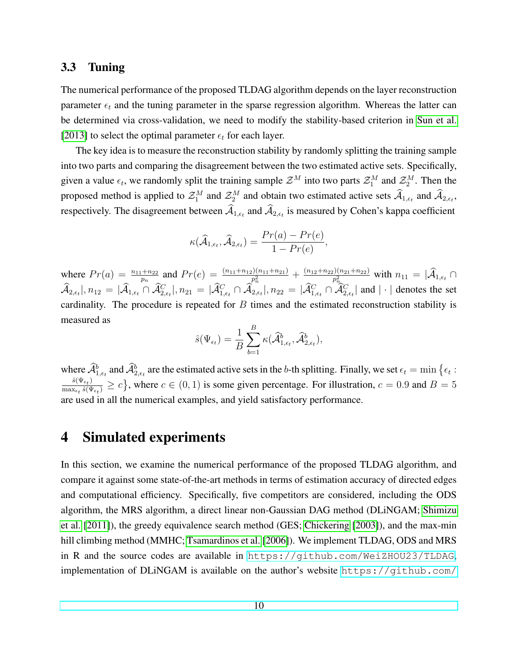#### <span id="page-9-1"></span>3.3 Tuning

The numerical performance of the proposed TLDAG algorithm depends on the layer reconstruction parameter  $\epsilon_t$  and the tuning parameter in the sparse regression algorithm. Whereas the latter can be determined via cross-validation, we need to modify the stability-based criterion in [Sun et al.](#page-23-11) [\[2013\]](#page-23-11) to select the optimal parameter  $\epsilon_t$  for each layer.

The key idea is to measure the reconstruction stability by randomly splitting the training sample into two parts and comparing the disagreement between the two estimated active sets. Specifically, given a value  $\epsilon_t$ , we randomly split the training sample  $\mathcal{Z}^M$  into two parts  $\mathcal{Z}_1^M$  and  $\mathcal{Z}_2^M$ . Then the proposed method is applied to  $\mathcal{Z}_1^M$  and  $\mathcal{Z}_2^M$  and obtain two estimated active sets  $\mathcal{A}_{1,\epsilon_t}$  and  $\mathcal{A}_{2,\epsilon_t}$ , respectively. The disagreement between  $\mathcal{A}_{1,\epsilon_t}$  and  $\mathcal{A}_{2,\epsilon_t}$  is measured by Cohen's kappa coefficient

$$
\kappa(\widehat{\mathcal{A}}_{1,\epsilon_t},\widehat{\mathcal{A}}_{2,\epsilon_t})=\frac{Pr(a)-Pr(e)}{1-Pr(e)},
$$

where  $Pr(a) = \frac{n_{11} + n_{22}}{p_n}$  and  $Pr(e) = \frac{(n_{11} + n_{12})(n_{11} + n_{21})}{p_n^2} + \frac{(n_{12} + n_{22})(n_{21} + n_{22})}{p_n^2}$  $\frac{p_1! (n_{21}+n_{22})}{p_{n_{\infty}}^2}$  with  $n_{11} = |A_{1,\epsilon_t}| \cap$  $\hat{\mathcal{A}}_{2,\epsilon_t}|, n_{12} = |\hat{\mathcal{A}}_{1,\epsilon_t} \cap \hat{\mathcal{A}}_{2,\epsilon_t}^C|, n_{21} = |\hat{\mathcal{A}}_{1,\epsilon_t}^C \cap \hat{\mathcal{A}}_{2,\epsilon_t}^C|, n_{22} = |\hat{\mathcal{A}}_{1,\epsilon_t}^C \cap \hat{\mathcal{A}}_{2,\epsilon_t}^C|$  and  $|\cdot|$  denotes the set cardinality. The procedure is repeated for  $B$  times and the estimated reconstruction stability is measured as

$$
\hat{s}(\Psi_{\epsilon_t}) = \frac{1}{B} \sum_{b=1}^{B} \kappa(\widehat{\mathcal{A}}_{1,\epsilon_t}^b, \widehat{\mathcal{A}}_{2,\epsilon_t}^b),
$$

where  $\hat{\mathcal{A}}_{1,\epsilon_t}^b$  and  $\hat{\mathcal{A}}_{2,\epsilon_t}^b$  are the estimated active sets in the b-th splitting. Finally, we set  $\epsilon_t = \min \{ \epsilon_t :$  $\hat s(\Psi_{\epsilon_{\textit{\text{t}}}})$  $\frac{s(\Psi_{\epsilon_t})}{\max_{\epsilon_t} \hat{s}(\Psi_{\epsilon_t})} \geq c$ , where  $c \in (0, 1)$  is some given percentage. For illustration,  $c = 0.9$  and  $B = 5$ are used in all the numerical examples, and yield satisfactory performance.

### <span id="page-9-0"></span>4 Simulated experiments

In this section, we examine the numerical performance of the proposed TLDAG algorithm, and compare it against some state-of-the-art methods in terms of estimation accuracy of directed edges and computational efficiency. Specifically, five competitors are considered, including the ODS algorithm, the MRS algorithm, a direct linear non-Gaussian DAG method (DLiNGAM; [Shimizu](#page-23-6) [et al.](#page-23-6) [\[2011\]](#page-23-6)), the greedy equivalence search method (GES; [Chickering](#page-22-1) [\[2003\]](#page-22-1)), and the max-min hill climbing method (MMHC; [Tsamardinos et al.](#page-24-2) [\[2006\]](#page-24-2)). We implement TLDAG, ODS and MRS in R and the source codes are available in <https://github.com/WeiZHOU23/TLDAG>, implementation of DLiNGAM is available on the author's website [https://github.com/](https://github.com/cdt15/lingam)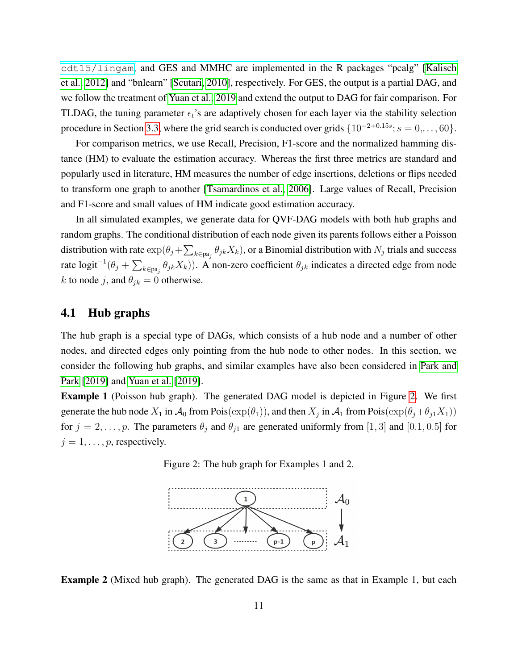[cdt15/lingam](https://github.com/cdt15/lingam), and GES and MMHC are implemented in the R packages "pcalg" [\[Kalisch](#page-22-10) [et al., 2012\]](#page-22-10) and "bnlearn" [\[Scutari, 2010\]](#page-23-12), respectively. For GES, the output is a partial DAG, and we follow the treatment of [Yuan et al., 2019](#page-24-3) and extend the output to DAG for fair comparison. For TLDAG, the tuning parameter  $\epsilon_t$ 's are adaptively chosen for each layer via the stability selection procedure in Section [3.3,](#page-9-1) where the grid search is conducted over grids  $\{10^{-2+0.15s}; s = 0, \ldots, 60\}.$ 

For comparison metrics, we use Recall, Precision, F1-score and the normalized hamming distance (HM) to evaluate the estimation accuracy. Whereas the first three metrics are standard and popularly used in literature, HM measures the number of edge insertions, deletions or flips needed to transform one graph to another [\[Tsamardinos et al., 2006\]](#page-24-2). Large values of Recall, Precision and F1-score and small values of HM indicate good estimation accuracy.

In all simulated examples, we generate data for QVF-DAG models with both hub graphs and random graphs. The conditional distribution of each node given its parents follows either a Poisson distribution with rate  $\exp(\theta_j + \sum_{k \in \text{pa}_j} \theta_{jk} X_k)$ , or a Binomial distribution with  $N_j$  trials and success rate logit<sup>-1</sup>( $\theta_j + \sum_{k \in pa_j} \theta_{jk} X_k$ )). A non-zero coefficient  $\theta_{jk}$  indicates a directed edge from node k to node j, and  $\theta_{jk} = 0$  otherwise.

#### 4.1 Hub graphs

The hub graph is a special type of DAGs, which consists of a hub node and a number of other nodes, and directed edges only pointing from the hub node to other nodes. In this section, we consider the following hub graphs, and similar examples have also been considered in [Park and](#page-23-9) [Park](#page-23-9) [\[2019\]](#page-23-9) and [Yuan et al.](#page-24-3) [\[2019\]](#page-24-3).

<span id="page-10-0"></span>Example 1 (Poisson hub graph). The generated DAG model is depicted in Figure [2.](#page-10-0) We first generate the hub node  $X_1$  in  $\mathcal{A}_0$  from Pois $(\exp(\theta_1))$ , and then  $X_j$  in  $\mathcal{A}_1$  from Pois $(\exp(\theta_j + \theta_{j1}X_1))$ for  $j = 2, \ldots, p$ . The parameters  $\theta_j$  and  $\theta_{j1}$  are generated uniformly from [1,3] and [0.1, 0.5] for  $j = 1, \ldots, p$ , respectively.





Example 2 (Mixed hub graph). The generated DAG is the same as that in Example 1, but each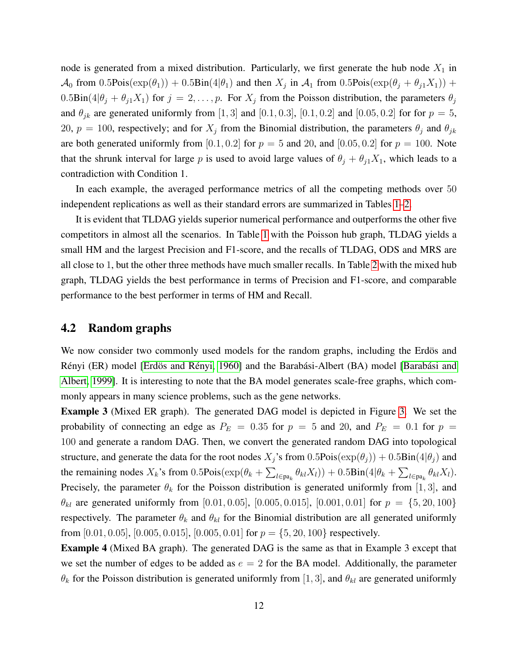node is generated from a mixed distribution. Particularly, we first generate the hub node  $X_1$  in  $\mathcal{A}_0$  from 0.5Pois $(\exp(\theta_1)) + 0.5\text{Bin}(4|\theta_1)$  and then  $X_j$  in  $\mathcal{A}_1$  from 0.5Pois $(\exp(\theta_j + \theta_{j1}X_1))$  +  $0.5\text{Bin}(4|\theta_j + \theta_{j1}X_1)$  for  $j = 2, \ldots, p$ . For  $X_j$  from the Poisson distribution, the parameters  $\theta_j$ and  $\theta_{jk}$  are generated uniformly from [1, 3] and [0.1, 0.3], [0.1, 0.2] and [0.05, 0.2] for for  $p = 5$ , 20,  $p = 100$ , respectively; and for  $X_j$  from the Binomial distribution, the parameters  $\theta_j$  and  $\theta_{jk}$ are both generated uniformly from [0.1, 0.2] for  $p = 5$  and 20, and [0.05, 0.2] for  $p = 100$ . Note that the shrunk interval for large p is used to avoid large values of  $\theta_j + \theta_{j1}X_1$ , which leads to a contradiction with Condition 1.

In each example, the averaged performance metrics of all the competing methods over 50 independent replications as well as their standard errors are summarized in Tables [1](#page-12-0)[–2.](#page-13-0)

It is evident that TLDAG yields superior numerical performance and outperforms the other five competitors in almost all the scenarios. In Table [1](#page-12-0) with the Poisson hub graph, TLDAG yields a small HM and the largest Precision and F1-score, and the recalls of TLDAG, ODS and MRS are all close to 1, but the other three methods have much smaller recalls. In Table [2](#page-13-0) with the mixed hub graph, TLDAG yields the best performance in terms of Precision and F1-score, and comparable performance to the best performer in terms of HM and Recall.

#### 4.2 Random graphs

We now consider two commonly used models for the random graphs, including the Erdös and Rényi (ER) model [Erdös and Rényi, [1960\]](#page-22-11) and the Barabási-Albert (BA) model [Barabási and [Albert, 1999\]](#page-22-12). It is interesting to note that the BA model generates scale-free graphs, which commonly appears in many science problems, such as the gene networks.

Example 3 (Mixed ER graph). The generated DAG model is depicted in Figure [3.](#page-14-0) We set the probability of connecting an edge as  $P_E = 0.35$  for  $p = 5$  and 20, and  $P_E = 0.1$  for  $p = 1$ 100 and generate a random DAG. Then, we convert the generated random DAG into topological structure, and generate the data for the root nodes  $X_j$ 's from  $0.5Pois(\exp(\theta_i)) + 0.5Bin(4|\theta_i)$  and the remaining nodes  $X_k$ 's from  $0.5$ Pois $(\exp(\theta_k + \sum_{l \in pa_k} \theta_{kl} X_l)) + 0.5$ Bin $(4|\theta_k + \sum_{l \in pa_k} \theta_{kl} X_l)$ . Precisely, the parameter  $\theta_k$  for the Poisson distribution is generated uniformly from [1, 3], and  $\theta_{kl}$  are generated uniformly from [0.01, 0.05], [0.005, 0.015], [0.001, 0.01] for  $p = \{5, 20, 100\}$ respectively. The parameter  $\theta_k$  and  $\theta_{kl}$  for the Binomial distribution are all generated uniformly from [0.01, 0.05], [0.005, 0.015], [0.005, 0.01] for  $p = \{5, 20, 100\}$  respectively.

Example 4 (Mixed BA graph). The generated DAG is the same as that in Example 3 except that we set the number of edges to be added as  $e = 2$  for the BA model. Additionally, the parameter  $\theta_k$  for the Poisson distribution is generated uniformly from [1, 3], and  $\theta_{kl}$  are generated uniformly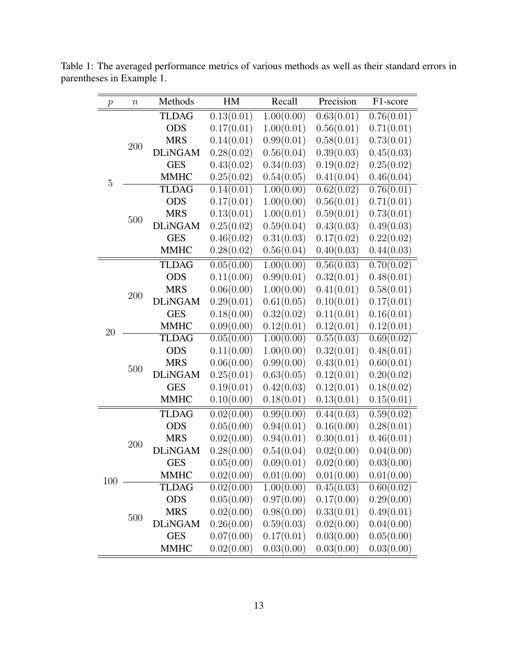| $\,p\,$        | $\boldsymbol{n}$ | Methods        | HM         | Recall     | Precision  | F1-score   |
|----------------|------------------|----------------|------------|------------|------------|------------|
|                |                  | <b>TLDAG</b>   | 0.13(0.01) | 1.00(0.00) | 0.63(0.01) | 0.76(0.01) |
|                |                  | <b>ODS</b>     | 0.17(0.01) | 1.00(0.01) | 0.56(0.01) | 0.71(0.01) |
|                | 200              | <b>MRS</b>     | 0.14(0.01) | 0.99(0.01) | 0.58(0.01) | 0.73(0.01) |
|                |                  | <b>DLiNGAM</b> | 0.28(0.02) | 0.56(0.04) | 0.39(0.03) | 0.45(0.03) |
|                |                  | <b>GES</b>     | 0.43(0.02) | 0.34(0.03) | 0.19(0.02) | 0.25(0.02) |
| $\overline{5}$ |                  | <b>MMHC</b>    | 0.25(0.02) | 0.54(0.05) | 0.41(0.04) | 0.46(0.04) |
|                |                  | <b>TLDAG</b>   | 0.14(0.01) | 1.00(0.00) | 0.62(0.02) | 0.76(0.01) |
|                |                  | <b>ODS</b>     | 0.17(0.01) | 1.00(0.00) | 0.56(0.01) | 0.71(0.01) |
|                | 500              | <b>MRS</b>     | 0.13(0.01) | 1.00(0.01) | 0.59(0.01) | 0.73(0.01) |
|                |                  | <b>DLiNGAM</b> | 0.25(0.02) | 0.59(0.04) | 0.43(0.03) | 0.49(0.03) |
|                |                  | <b>GES</b>     | 0.46(0.02) | 0.31(0.03) | 0.17(0.02) | 0.22(0.02) |
|                |                  | <b>MMHC</b>    | 0.28(0.02) | 0.56(0.04) | 0.40(0.03) | 0.44(0.03) |
|                |                  | <b>TLDAG</b>   | 0.05(0.00) | 1.00(0.00) | 0.56(0.03) | 0.70(0.02) |
|                |                  | <b>ODS</b>     | 0.11(0.00) | 0.99(0.01) | 0.32(0.01) | 0.48(0.01) |
|                | 200              | <b>MRS</b>     | 0.06(0.00) | 1.00(0.00) | 0.41(0.01) | 0.58(0.01) |
|                |                  | <b>DLiNGAM</b> | 0.29(0.01) | 0.61(0.05) | 0.10(0.01) | 0.17(0.01) |
|                |                  | <b>GES</b>     | 0.18(0.00) | 0.32(0.02) | 0.11(0.01) | 0.16(0.01) |
| 20             |                  | <b>MMHC</b>    | 0.09(0.00) | 0.12(0.01) | 0.12(0.01) | 0.12(0.01) |
|                |                  | <b>TLDAG</b>   | 0.05(0.00) | 1.00(0.00) | 0.55(0.03) | 0.69(0.02) |
|                |                  | <b>ODS</b>     | 0.11(0.00) | 1.00(0.00) | 0.32(0.01) | 0.48(0.01) |
|                | 500              | <b>MRS</b>     | 0.06(0.00) | 0.99(0.00) | 0.43(0.01) | 0.60(0.01) |
|                |                  | <b>DLiNGAM</b> | 0.25(0.01) | 0.63(0.05) | 0.12(0.01) | 0.20(0.02) |
|                |                  | <b>GES</b>     | 0.19(0.01) | 0.42(0.03) | 0.12(0.01) | 0.18(0.02) |
|                |                  | <b>MMHC</b>    | 0.10(0.00) | 0.18(0.01) | 0.13(0.01) | 0.15(0.01) |
|                |                  | <b>TLDAG</b>   | 0.02(0.00) | 0.99(0.00) | 0.44(0.03) | 0.59(0.02) |
|                |                  | <b>ODS</b>     | 0.05(0.00) | 0.94(0.01) | 0.16(0.00) | 0.28(0.01) |
|                | 200              | <b>MRS</b>     | 0.02(0.00) | 0.94(0.01) | 0.30(0.01) | 0.46(0.01) |
|                |                  | <b>DLiNGAM</b> | 0.28(0.00) | 0.54(0.04) | 0.02(0.00) | 0.04(0.00) |
|                |                  | <b>GES</b>     | 0.05(0.00) | 0.09(0.01) | 0.02(0.00) | 0.03(0.00) |
| 100            |                  | <b>MMHC</b>    | 0.02(0.00) | 0.01(0.00) | 0.01(0.00) | 0.01(0.00) |
|                |                  | <b>TLDAG</b>   | 0.02(0.00) | 1.00(0.00) | 0.45(0.03) | 0.60(0.02) |
|                |                  | <b>ODS</b>     | 0.05(0.00) | 0.97(0.00) | 0.17(0.00) | 0.29(0.00) |
|                | $500\,$          | <b>MRS</b>     | 0.02(0.00) | 0.98(0.00) | 0.33(0.01) | 0.49(0.01) |
|                |                  | <b>DLiNGAM</b> | 0.26(0.00) | 0.59(0.03) | 0.02(0.00) | 0.04(0.00) |
|                |                  | <b>GES</b>     | 0.07(0.00) | 0.17(0.01) | 0.03(0.00) | 0.05(0.00) |
|                |                  | <b>MMHC</b>    | 0.02(0.00) | 0.03(0.00) | 0.03(0.00) | 0.03(0.00) |

<span id="page-12-0"></span>Table 1: The averaged performance metrics of various methods as well as their standard errors in parentheses in Example 1.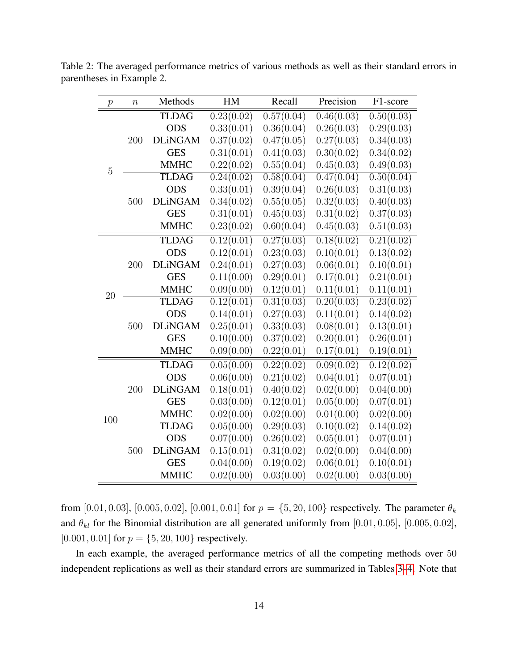| $\,p\,$        | $\boldsymbol{n}$ | Methods        | HM                      | Recall                  | Precision  | F1-score                |
|----------------|------------------|----------------|-------------------------|-------------------------|------------|-------------------------|
|                |                  | <b>TLDAG</b>   | 0.23(0.02)              | $0.57(\overline{0.04})$ | 0.46(0.03) | $\overline{0.50(0.03)}$ |
|                |                  | <b>ODS</b>     | 0.33(0.01)              | 0.36(0.04)              | 0.26(0.03) | 0.29(0.03)              |
|                | 200              | <b>DLiNGAM</b> | 0.37(0.02)              | 0.47(0.05)              | 0.27(0.03) | 0.34(0.03)              |
|                |                  | <b>GES</b>     | 0.31(0.01)              | 0.41(0.03)              | 0.30(0.02) | 0.34(0.02)              |
| $\overline{5}$ |                  | <b>MMHC</b>    | 0.22(0.02)              | 0.55(0.04)              | 0.45(0.03) | 0.49(0.03)              |
|                |                  | <b>TLDAG</b>   | $\overline{0.24(0.02)}$ | $\overline{0.58(0.04)}$ | 0.47(0.04) | $\overline{0.50(0.04)}$ |
|                |                  | <b>ODS</b>     | 0.33(0.01)              | 0.39(0.04)              | 0.26(0.03) | 0.31(0.03)              |
|                | 500              | <b>DLiNGAM</b> | 0.34(0.02)              | 0.55(0.05)              | 0.32(0.03) | 0.40(0.03)              |
|                |                  | <b>GES</b>     | 0.31(0.01)              | 0.45(0.03)              | 0.31(0.02) | 0.37(0.03)              |
|                |                  | <b>MMHC</b>    | 0.23(0.02)              | 0.60(0.04)              | 0.45(0.03) | 0.51(0.03)              |
|                |                  | <b>TLDAG</b>   | 0.12(0.01)              | 0.27(0.03)              | 0.18(0.02) | 0.21(0.02)              |
|                |                  | <b>ODS</b>     | 0.12(0.01)              | 0.23(0.03)              | 0.10(0.01) | 0.13(0.02)              |
|                | $200\,$          | <b>DLiNGAM</b> | 0.24(0.01)              | 0.27(0.03)              | 0.06(0.01) | 0.10(0.01)              |
|                |                  | <b>GES</b>     | 0.11(0.00)              | 0.29(0.01)              | 0.17(0.01) | 0.21(0.01)              |
| 20             |                  | <b>MMHC</b>    | 0.09(0.00)              | 0.12(0.01)              | 0.11(0.01) | 0.11(0.01)              |
|                | 500              | <b>TLDAG</b>   | 0.12(0.01)              | $\overline{0.31(0.03)}$ | 0.20(0.03) | 0.23(0.02)              |
|                |                  | <b>ODS</b>     | 0.14(0.01)              | 0.27(0.03)              | 0.11(0.01) | 0.14(0.02)              |
|                |                  | <b>DLiNGAM</b> | 0.25(0.01)              | 0.33(0.03)              | 0.08(0.01) | 0.13(0.01)              |
|                |                  | <b>GES</b>     | 0.10(0.00)              | 0.37(0.02)              | 0.20(0.01) | 0.26(0.01)              |
|                |                  | <b>MMHC</b>    | 0.09(0.00)              | 0.22(0.01)              | 0.17(0.01) | 0.19(0.01)              |
|                |                  | <b>TLDAG</b>   | 0.05(0.00)              | 0.22(0.02)              | 0.09(0.02) | 0.12(0.02)              |
|                |                  | <b>ODS</b>     | 0.06(0.00)              | 0.21(0.02)              | 0.04(0.01) | 0.07(0.01)              |
|                | $200\,$          | <b>DLiNGAM</b> | 0.18(0.01)              | 0.40(0.02)              | 0.02(0.00) | 0.04(0.00)              |
| 100            |                  | <b>GES</b>     | 0.03(0.00)              | 0.12(0.01)              | 0.05(0.00) | 0.07(0.01)              |
|                |                  | <b>MMHC</b>    | 0.02(0.00)              | 0.02(0.00)              | 0.01(0.00) | 0.02(0.00)              |
|                |                  | <b>TLDAG</b>   | 0.05(0.00)              | 0.29(0.03)              | 0.10(0.02) | 0.14(0.02)              |
|                |                  | <b>ODS</b>     | 0.07(0.00)              | 0.26(0.02)              | 0.05(0.01) | 0.07(0.01)              |
|                | 500              | <b>DLiNGAM</b> | 0.15(0.01)              | 0.31(0.02)              | 0.02(0.00) | 0.04(0.00)              |
|                |                  | <b>GES</b>     | 0.04(0.00)              | 0.19(0.02)              | 0.06(0.01) | 0.10(0.01)              |
|                |                  | <b>MMHC</b>    | 0.02(0.00)              | 0.03(0.00)              | 0.02(0.00) | 0.03(0.00)              |

<span id="page-13-0"></span>Table 2: The averaged performance metrics of various methods as well as their standard errors in parentheses in Example 2.

from [0.01, 0.03], [0.005, 0.02], [0.001, 0.01] for  $p = \{5, 20, 100\}$  respectively. The parameter  $\theta_k$ and  $\theta_{kl}$  for the Binomial distribution are all generated uniformly from [0.01, 0.05], [0.005, 0.02], [0.001, 0.01] for  $p = \{5, 20, 100\}$  respectively.

In each example, the averaged performance metrics of all the competing methods over 50 independent replications as well as their standard errors are summarized in Tables [3–](#page-15-1)[4.](#page-16-0) Note that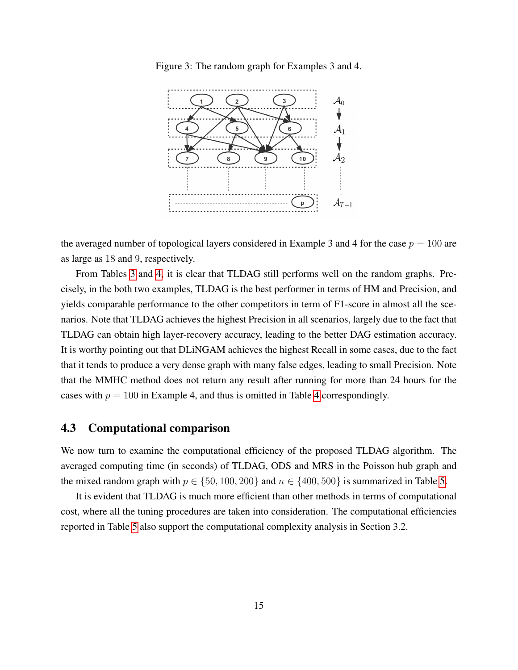<span id="page-14-0"></span>Figure 3: The random graph for Examples 3 and 4.



the averaged number of topological layers considered in Example 3 and 4 for the case  $p = 100$  are as large as 18 and 9, respectively.

From Tables [3](#page-15-1) and [4,](#page-16-0) it is clear that TLDAG still performs well on the random graphs. Precisely, in the both two examples, TLDAG is the best performer in terms of HM and Precision, and yields comparable performance to the other competitors in term of F1-score in almost all the scenarios. Note that TLDAG achieves the highest Precision in all scenarios, largely due to the fact that TLDAG can obtain high layer-recovery accuracy, leading to the better DAG estimation accuracy. It is worthy pointing out that DLiNGAM achieves the highest Recall in some cases, due to the fact that it tends to produce a very dense graph with many false edges, leading to small Precision. Note that the MMHC method does not return any result after running for more than 24 hours for the cases with  $p = 100$  in Example [4](#page-16-0), and thus is omitted in Table 4 correspondingly.

#### 4.3 Computational comparison

We now turn to examine the computational efficiency of the proposed TLDAG algorithm. The averaged computing time (in seconds) of TLDAG, ODS and MRS in the Poisson hub graph and the mixed random graph with  $p \in \{50, 100, 200\}$  and  $n \in \{400, 500\}$  is summarized in Table [5.](#page-17-0)

It is evident that TLDAG is much more efficient than other methods in terms of computational cost, where all the tuning procedures are taken into consideration. The computational efficiencies reported in Table [5](#page-17-0) also support the computational complexity analysis in Section 3.2.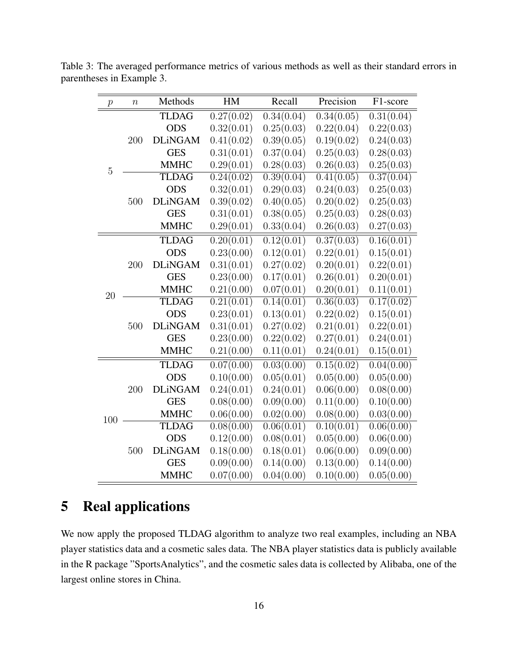| $\boldsymbol{p}$ | $\boldsymbol{n}$ | Methods        | HM         | Recall                  | Precision               | F1-score                |
|------------------|------------------|----------------|------------|-------------------------|-------------------------|-------------------------|
|                  |                  | <b>TLDAG</b>   | 0.27(0.02) | 0.34(0.04)              | $\overline{0.34(0.05)}$ | $\overline{0.31(0.04)}$ |
|                  |                  | <b>ODS</b>     | 0.32(0.01) | 0.25(0.03)              | 0.22(0.04)              | 0.22(0.03)              |
|                  | 200              | <b>DLiNGAM</b> | 0.41(0.02) | 0.39(0.05)              | 0.19(0.02)              | 0.24(0.03)              |
|                  |                  | <b>GES</b>     | 0.31(0.01) | 0.37(0.04)              | 0.25(0.03)              | 0.28(0.03)              |
| 5                |                  | <b>MMHC</b>    | 0.29(0.01) | 0.28(0.03)              | 0.26(0.03)              | 0.25(0.03)              |
|                  |                  | <b>TLDAG</b>   | 0.24(0.02) | $\overline{0.39(0.04)}$ | $\overline{0.41(0.05)}$ | $\overline{0.37(0.04)}$ |
|                  |                  | <b>ODS</b>     | 0.32(0.01) | 0.29(0.03)              | 0.24(0.03)              | 0.25(0.03)              |
|                  | 500              | <b>DLiNGAM</b> | 0.39(0.02) | 0.40(0.05)              | 0.20(0.02)              | 0.25(0.03)              |
|                  |                  | <b>GES</b>     | 0.31(0.01) | 0.38(0.05)              | 0.25(0.03)              | 0.28(0.03)              |
|                  |                  | <b>MMHC</b>    | 0.29(0.01) | 0.33(0.04)              | 0.26(0.03)              | 0.27(0.03)              |
|                  |                  | <b>TLDAG</b>   | 0.20(0.01) | 0.12(0.01)              | 0.37(0.03)              | 0.16(0.01)              |
|                  |                  | <b>ODS</b>     | 0.23(0.00) | 0.12(0.01)              | 0.22(0.01)              | 0.15(0.01)              |
|                  | 200              | <b>DLiNGAM</b> | 0.31(0.01) | 0.27(0.02)              | 0.20(0.01)              | 0.22(0.01)              |
|                  |                  | <b>GES</b>     | 0.23(0.00) | 0.17(0.01)              | 0.26(0.01)              | 0.20(0.01)              |
| 20               |                  | <b>MMHC</b>    | 0.21(0.00) | 0.07(0.01)              | 0.20(0.01)              | 0.11(0.01)              |
|                  |                  | <b>TLDAG</b>   | 0.21(0.01) | 0.14(0.01)              | 0.36(0.03)              | 0.17(0.02)              |
|                  |                  | <b>ODS</b>     | 0.23(0.01) | 0.13(0.01)              | 0.22(0.02)              | 0.15(0.01)              |
|                  | 500              | <b>DLiNGAM</b> | 0.31(0.01) | 0.27(0.02)              | 0.21(0.01)              | 0.22(0.01)              |
|                  |                  | <b>GES</b>     | 0.23(0.00) | 0.22(0.02)              | 0.27(0.01)              | 0.24(0.01)              |
|                  |                  | <b>MMHC</b>    | 0.21(0.00) | 0.11(0.01)              | 0.24(0.01)              | 0.15(0.01)              |
|                  |                  | <b>TLDAG</b>   | 0.07(0.00) | 0.03(0.00)              | 0.15(0.02)              | 0.04(0.00)              |
|                  |                  | <b>ODS</b>     | 0.10(0.00) | 0.05(0.01)              | 0.05(0.00)              | 0.05(0.00)              |
|                  | 200              | <b>DLiNGAM</b> | 0.24(0.01) | 0.24(0.01)              | 0.06(0.00)              | 0.08(0.00)              |
|                  |                  | <b>GES</b>     | 0.08(0.00) | 0.09(0.00)              | 0.11(0.00)              | 0.10(0.00)              |
| 100              |                  | <b>MMHC</b>    | 0.06(0.00) | 0.02(0.00)              | 0.08(0.00)              | 0.03(0.00)              |
|                  |                  | <b>TLDAG</b>   | 0.08(0.00) | 0.06(0.01)              | 0.10(0.01)              | 0.06(0.00)              |
|                  |                  | <b>ODS</b>     | 0.12(0.00) | 0.08(0.01)              | 0.05(0.00)              | 0.06(0.00)              |
|                  | 500              | <b>DLiNGAM</b> | 0.18(0.00) | 0.18(0.01)              | 0.06(0.00)              | 0.09(0.00)              |
|                  |                  | <b>GES</b>     | 0.09(0.00) | 0.14(0.00)              | 0.13(0.00)              | 0.14(0.00)              |
|                  |                  | <b>MMHC</b>    | 0.07(0.00) | 0.04(0.00)              | 0.10(0.00)              | 0.05(0.00)              |

<span id="page-15-1"></span>Table 3: The averaged performance metrics of various methods as well as their standard errors in parentheses in Example 3.

# <span id="page-15-0"></span>5 Real applications

We now apply the proposed TLDAG algorithm to analyze two real examples, including an NBA player statistics data and a cosmetic sales data. The NBA player statistics data is publicly available in the R package "SportsAnalytics", and the cosmetic sales data is collected by Alibaba, one of the largest online stores in China.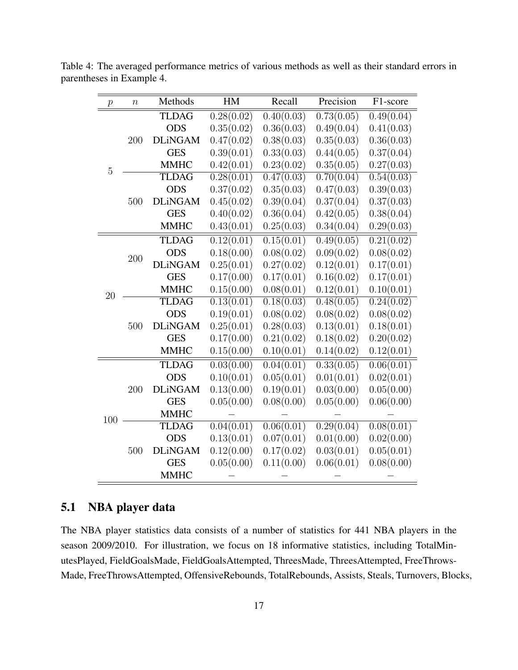| $\boldsymbol{p}$ | $\boldsymbol{n}$ | Methods        | HM         | Recall     | Precision  | F1-score                |
|------------------|------------------|----------------|------------|------------|------------|-------------------------|
|                  |                  | <b>TLDAG</b>   | 0.28(0.02) | 0.40(0.03) | 0.73(0.05) | 0.49(0.04)              |
|                  |                  | <b>ODS</b>     | 0.35(0.02) | 0.36(0.03) | 0.49(0.04) | 0.41(0.03)              |
|                  | 200              | <b>DLiNGAM</b> | 0.47(0.02) | 0.38(0.03) | 0.35(0.03) | 0.36(0.03)              |
|                  |                  | <b>GES</b>     | 0.39(0.01) | 0.33(0.03) | 0.44(0.05) | 0.37(0.04)              |
| $\overline{5}$   |                  | <b>MMHC</b>    | 0.42(0.01) | 0.23(0.02) | 0.35(0.05) | 0.27(0.03)              |
|                  |                  | <b>TLDAG</b>   | 0.28(0.01) | 0.47(0.03) | 0.70(0.04) | $\overline{0.54(0.03)}$ |
|                  |                  | <b>ODS</b>     | 0.37(0.02) | 0.35(0.03) | 0.47(0.03) | 0.39(0.03)              |
|                  | 500              | <b>DLiNGAM</b> | 0.45(0.02) | 0.39(0.04) | 0.37(0.04) | 0.37(0.03)              |
|                  |                  | <b>GES</b>     | 0.40(0.02) | 0.36(0.04) | 0.42(0.05) | 0.38(0.04)              |
|                  |                  | <b>MMHC</b>    | 0.43(0.01) | 0.25(0.03) | 0.34(0.04) | 0.29(0.03)              |
|                  |                  | <b>TLDAG</b>   | 0.12(0.01) | 0.15(0.01) | 0.49(0.05) | 0.21(0.02)              |
|                  | 200              | <b>ODS</b>     | 0.18(0.00) | 0.08(0.02) | 0.09(0.02) | 0.08(0.02)              |
|                  |                  | <b>DLiNGAM</b> | 0.25(0.01) | 0.27(0.02) | 0.12(0.01) | 0.17(0.01)              |
|                  |                  | <b>GES</b>     | 0.17(0.00) | 0.17(0.01) | 0.16(0.02) | 0.17(0.01)              |
| 20               |                  | <b>MMHC</b>    | 0.15(0.00) | 0.08(0.01) | 0.12(0.01) | 0.10(0.01)              |
|                  | 500              | <b>TLDAG</b>   | 0.13(0.01) | 0.18(0.03) | 0.48(0.05) | 0.24(0.02)              |
|                  |                  | <b>ODS</b>     | 0.19(0.01) | 0.08(0.02) | 0.08(0.02) | 0.08(0.02)              |
|                  |                  | <b>DLiNGAM</b> | 0.25(0.01) | 0.28(0.03) | 0.13(0.01) | 0.18(0.01)              |
|                  |                  | <b>GES</b>     | 0.17(0.00) | 0.21(0.02) | 0.18(0.02) | 0.20(0.02)              |
|                  |                  | <b>MMHC</b>    | 0.15(0.00) | 0.10(0.01) | 0.14(0.02) | 0.12(0.01)              |
|                  |                  | <b>TLDAG</b>   | 0.03(0.00) | 0.04(0.01) | 0.33(0.05) | 0.06(0.01)              |
|                  |                  | <b>ODS</b>     | 0.10(0.01) | 0.05(0.01) | 0.01(0.01) | 0.02(0.01)              |
|                  | 200              | <b>DLiNGAM</b> | 0.13(0.00) | 0.19(0.01) | 0.03(0.00) | 0.05(0.00)              |
| 100              |                  | <b>GES</b>     | 0.05(0.00) | 0.08(0.00) | 0.05(0.00) | 0.06(0.00)              |
|                  |                  | <b>MMHC</b>    |            |            |            |                         |
|                  |                  | <b>TLDAG</b>   | 0.04(0.01) | 0.06(0.01) | 0.29(0.04) | 0.08(0.01)              |
|                  | 500              | <b>ODS</b>     | 0.13(0.01) | 0.07(0.01) | 0.01(0.00) | 0.02(0.00)              |
|                  |                  | <b>DLiNGAM</b> | 0.12(0.00) | 0.17(0.02) | 0.03(0.01) | 0.05(0.01)              |
|                  |                  | <b>GES</b>     | 0.05(0.00) | 0.11(0.00) | 0.06(0.01) | 0.08(0.00)              |
|                  |                  | <b>MMHC</b>    |            |            |            |                         |

<span id="page-16-0"></span>Table 4: The averaged performance metrics of various methods as well as their standard errors in parentheses in Example 4.

### 5.1 NBA player data

The NBA player statistics data consists of a number of statistics for 441 NBA players in the season 2009/2010. For illustration, we focus on 18 informative statistics, including TotalMinutesPlayed, FieldGoalsMade, FieldGoalsAttempted, ThreesMade, ThreesAttempted, FreeThrows-Made, FreeThrowsAttempted, OffensiveRebounds, TotalRebounds, Assists, Steals, Turnovers, Blocks,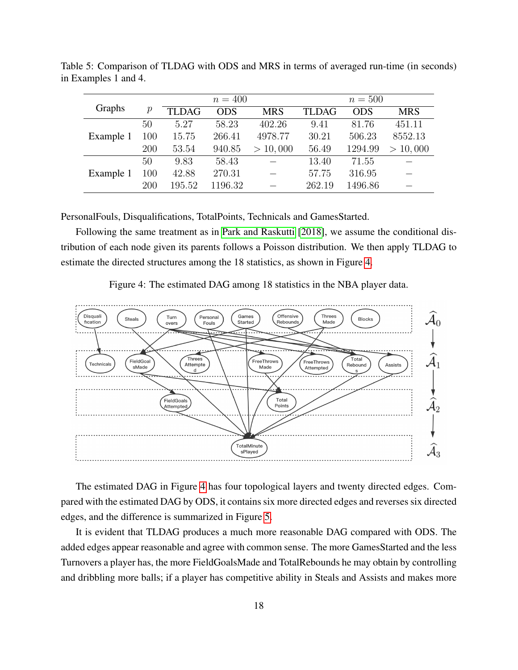|           |               |              | $n = 400$  |            |              | $n = 500$  |            |
|-----------|---------------|--------------|------------|------------|--------------|------------|------------|
| Graphs    | $\mathcal{p}$ | <b>TLDAG</b> | <b>ODS</b> | <b>MRS</b> | <b>TLDAG</b> | <b>ODS</b> | <b>MRS</b> |
|           | 50            | 5.27         | 58.23      | 402.26     | 9.41         | 81.76      | 451.11     |
| Example 1 | 100           | 15.75        | 266.41     | 4978.77    | 30.21        | 506.23     | 8552.13    |
|           | 200           | 53.54        | 940.85     | > 10,000   | 56.49        | 1294.99    | > 10,000   |
|           | 50            | 9.83         | 58.43      |            | 13.40        | 71.55      |            |
| Example 1 | 100           | 42.88        | 270.31     |            | 57.75        | 316.95     |            |
|           | 200           | 195.52       | 1196.32    |            | 262.19       | 1496.86    |            |

<span id="page-17-0"></span>Table 5: Comparison of TLDAG with ODS and MRS in terms of averaged run-time (in seconds) in Examples 1 and 4.

PersonalFouls, Disqualifications, TotalPoints, Technicals and GamesStarted.

Following the same treatment as in [Park and Raskutti](#page-23-8) [\[2018\]](#page-23-8), we assume the conditional distribution of each node given its parents follows a Poisson distribution. We then apply TLDAG to estimate the directed structures among the 18 statistics, as shown in Figure [4.](#page-17-1)

Figure 4: The estimated DAG among 18 statistics in the NBA player data.

<span id="page-17-1"></span>

The estimated DAG in Figure [4](#page-17-1) has four topological layers and twenty directed edges. Compared with the estimated DAG by ODS, it contains six more directed edges and reverses six directed edges, and the difference is summarized in Figure [5.](#page-18-0)

It is evident that TLDAG produces a much more reasonable DAG compared with ODS. The added edges appear reasonable and agree with common sense. The more GamesStarted and the less Turnovers a player has, the more FieldGoalsMade and TotalRebounds he may obtain by controlling and dribbling more balls; if a player has competitive ability in Steals and Assists and makes more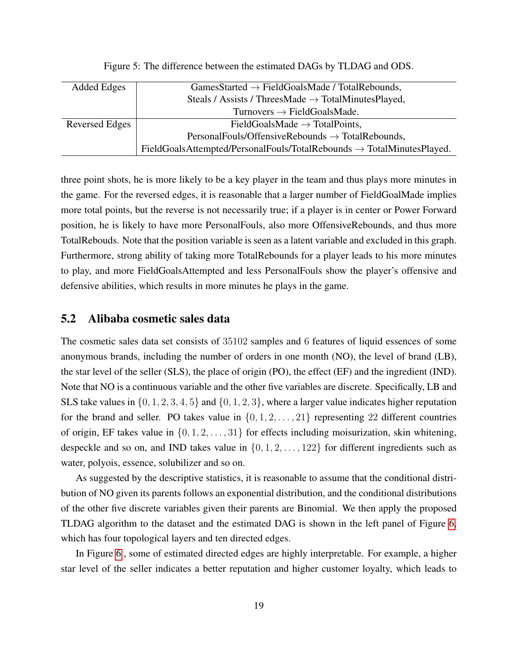<span id="page-18-0"></span>

| Added Edges    | $GamesStarted \rightarrow FieldGoals Made / Total Rebounds,$                             |
|----------------|------------------------------------------------------------------------------------------|
|                | Steals / Assists / ThreesMade $\rightarrow$ TotalMinutesPlayed,                          |
|                | Turnovers $\rightarrow$ FieldGoalsMade.                                                  |
| Reversed Edges | FieldGoalsMade $\rightarrow$ TotalPoints,                                                |
|                | $PersonalFouls/OffensiveRebounds \rightarrow TotalRebounds,$                             |
|                | $FieldGoals$ Attempted/Personal Fouls/Total Rebounds $\rightarrow$ Total Minutes Played. |

Figure 5: The difference between the estimated DAGs by TLDAG and ODS.

three point shots, he is more likely to be a key player in the team and thus plays more minutes in the game. For the reversed edges, it is reasonable that a larger number of FieldGoalMade implies more total points, but the reverse is not necessarily true; if a player is in center or Power Forward position, he is likely to have more PersonalFouls, also more OffensiveRebounds, and thus more TotalRebouds. Note that the position variable is seen as a latent variable and excluded in this graph. Furthermore, strong ability of taking more TotalRebounds for a player leads to his more minutes to play, and more FieldGoalsAttempted and less PersonalFouls show the player's offensive and defensive abilities, which results in more minutes he plays in the game.

#### 5.2 Alibaba cosmetic sales data

The cosmetic sales data set consists of 35102 samples and 6 features of liquid essences of some anonymous brands, including the number of orders in one month (NO), the level of brand (LB), the star level of the seller (SLS), the place of origin (PO), the effect (EF) and the ingredient (IND). Note that NO is a continuous variable and the other five variables are discrete. Specifically, LB and SLS take values in  $\{0, 1, 2, 3, 4, 5\}$  and  $\{0, 1, 2, 3\}$ , where a larger value indicates higher reputation for the brand and seller. PO takes value in  $\{0, 1, 2, \ldots, 21\}$  representing 22 different countries of origin, EF takes value in  $\{0, 1, 2, \ldots, 31\}$  for effects including moisurization, skin whitening, despeckle and so on, and IND takes value in  $\{0, 1, 2, \ldots, 122\}$  for different ingredients such as water, polyois, essence, solubilizer and so on.

As suggested by the descriptive statistics, it is reasonable to assume that the conditional distribution of NO given its parents follows an exponential distribution, and the conditional distributions of the other five discrete variables given their parents are Binomial. We then apply the proposed TLDAG algorithm to the dataset and the estimated DAG is shown in the left panel of Figure [6,](#page-19-1) which has four topological layers and ten directed edges.

In Figure [6](#page-19-1) , some of estimated directed edges are highly interpretable. For example, a higher star level of the seller indicates a better reputation and higher customer loyalty, which leads to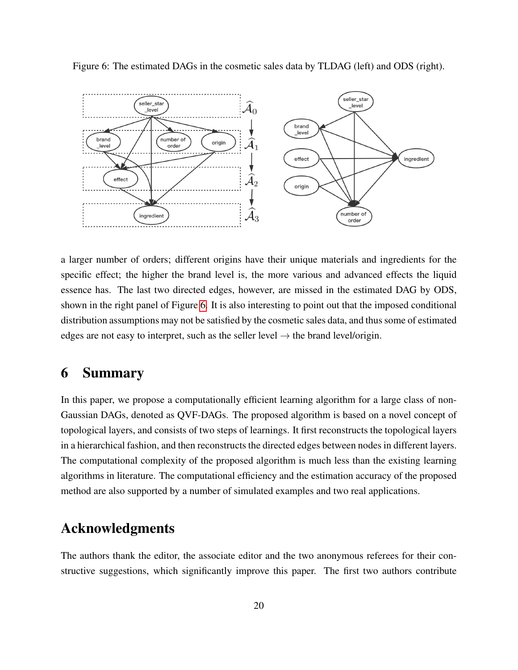

<span id="page-19-1"></span>Figure 6: The estimated DAGs in the cosmetic sales data by TLDAG (left) and ODS (right).

a larger number of orders; different origins have their unique materials and ingredients for the specific effect; the higher the brand level is, the more various and advanced effects the liquid essence has. The last two directed edges, however, are missed in the estimated DAG by ODS, shown in the right panel of Figure [6.](#page-19-1) It is also interesting to point out that the imposed conditional distribution assumptions may not be satisfied by the cosmetic sales data, and thus some of estimated edges are not easy to interpret, such as the seller level  $\rightarrow$  the brand level/origin.

### <span id="page-19-0"></span>6 Summary

In this paper, we propose a computationally efficient learning algorithm for a large class of non-Gaussian DAGs, denoted as QVF-DAGs. The proposed algorithm is based on a novel concept of topological layers, and consists of two steps of learnings. It first reconstructs the topological layers in a hierarchical fashion, and then reconstructs the directed edges between nodes in different layers. The computational complexity of the proposed algorithm is much less than the existing learning algorithms in literature. The computational efficiency and the estimation accuracy of the proposed method are also supported by a number of simulated examples and two real applications.

### Acknowledgments

The authors thank the editor, the associate editor and the two anonymous referees for their constructive suggestions, which significantly improve this paper. The first two authors contribute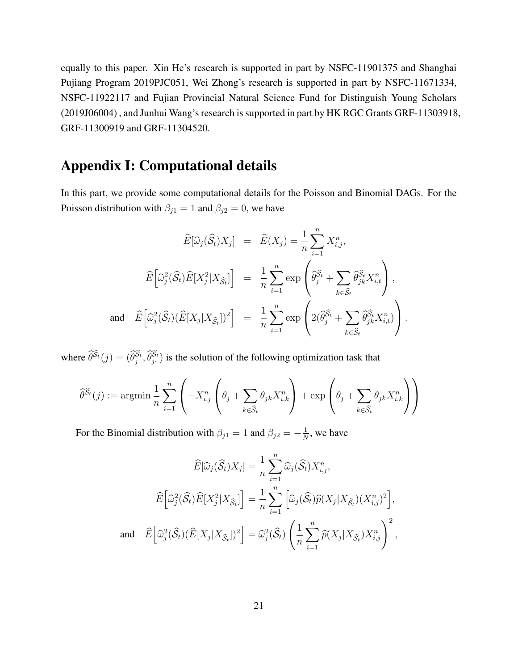equally to this paper. Xin He's research is supported in part by NSFC-11901375 and Shanghai Pujiang Program 2019PJC051, Wei Zhong's research is supported in part by NSFC-11671334, NSFC-11922117 and Fujian Provincial Natural Science Fund for Distinguish Young Scholars (2019J06004) , and Junhui Wang's research is supported in part by HK RGC Grants GRF-11303918, GRF-11300919 and GRF-11304520.

## Appendix I: Computational details

In this part, we provide some computational details for the Poisson and Binomial DAGs. For the Poisson distribution with  $\beta_{j1} = 1$  and  $\beta_{j2} = 0$ , we have

$$
\widehat{E}[\widehat{\omega}_{j}(\widehat{S}_{t})X_{j}] = \widehat{E}(X_{j}) = \frac{1}{n} \sum_{i=1}^{n} X_{i,j}^{n},
$$
\n
$$
\widehat{E}[\widehat{\omega}_{j}^{2}(\widehat{S}_{t})\widehat{E}[X_{j}^{2}|X_{\widehat{S}_{t}}]] = \frac{1}{n} \sum_{i=1}^{n} \exp\left(\widehat{\theta}_{j}^{\widehat{S}_{t}} + \sum_{k \in \widehat{S}_{t}} \widehat{\theta}_{jk}^{\widehat{S}_{t}} X_{i,t}^{n}\right),
$$
\nand\n
$$
\widehat{E}[\widehat{\omega}_{j}^{2}(\widehat{S}_{t})(\widehat{E}[X_{j}|X_{\widehat{S}_{t}}])^{2}] = \frac{1}{n} \sum_{i=1}^{n} \exp\left(2(\widehat{\theta}_{j}^{\widehat{S}_{t}} + \sum_{k \in \widehat{S}_{t}} \widehat{\theta}_{jk}^{\widehat{S}_{t}} X_{i,t}^{n})\right).
$$

where  $\hat{\theta}^{\tilde{S}_t}(j) = (\hat{\theta}_j^{S_t}, \hat{\theta}_j^{S_t})$  is the solution of the following optimization task that

$$
\widehat{\theta}^{\widehat{S}_t}(j) := \mathop{\rm argmin} \frac{1}{n} \sum_{i=1}^n \left( -X_{i,j}^n \left( \theta_j + \sum_{k \in \widehat{S}_t} \theta_{jk} X_{i,k}^n \right) + \exp \left( \theta_j + \sum_{k \in \widehat{S}_t} \theta_{jk} X_{i,k}^n \right) \right)
$$

For the Binomial distribution with  $\beta_{j1} = 1$  and  $\beta_{j2} = -\frac{1}{N}$  $\frac{1}{N}$ , we have

$$
\widehat{E}[\widehat{\omega}_{j}(\widehat{S}_{t})X_{j}] = \frac{1}{n} \sum_{i=1}^{n} \widehat{\omega}_{j}(\widehat{S}_{t})X_{i,j}^{n},
$$

$$
\widehat{E}[\widehat{\omega}_{j}^{2}(\widehat{S}_{t})\widehat{E}[X_{j}^{2}|X_{\widehat{S}_{t}}]] = \frac{1}{n} \sum_{i=1}^{n} [\widehat{\omega}_{j}(\widehat{S}_{t})\widehat{p}(X_{j}|X_{\widehat{S}_{t}})(X_{i,j}^{n})^{2}],
$$
and 
$$
\widehat{E}[\widehat{\omega}_{j}^{2}(\widehat{S}_{t})(\widehat{E}[X_{j}|X_{\widehat{S}_{t}}])^{2}] = \widehat{\omega}_{j}^{2}(\widehat{S}_{t}) \left(\frac{1}{n} \sum_{i=1}^{n} \widehat{p}(X_{j}|X_{\widehat{S}_{t}})X_{i,j}^{n}\right)^{2},
$$

21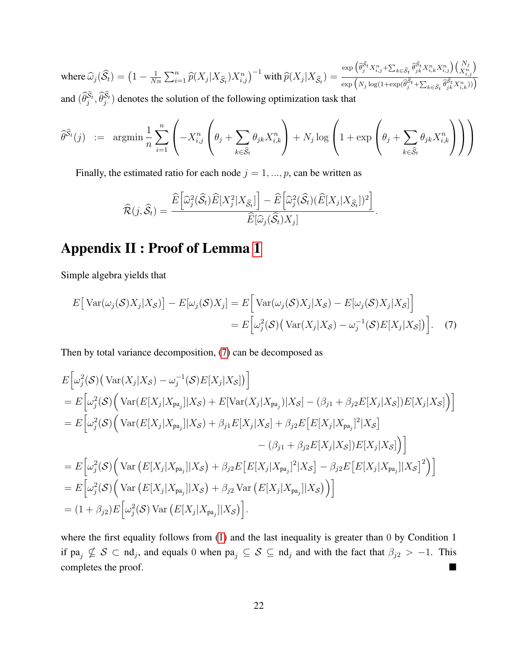where  $\widehat{\omega}_{j}(\widehat{\mathcal{S}}_t) = \left(1 - \frac{1}{N_0}\right)$  $\frac{1}{Nn} \sum_{i=1}^{n} \widehat{p}(X_j | X_{\widehat{\mathcal{S}}_t}) X_{i,j}^n)^{-1}$  with  $\widehat{p}(X_j | X_{\widehat{\mathcal{S}}_t}) =$  $\exp\Big(\widehat{\theta}_j^{\widehat{S}_t}X_{i,j}^n+\sum_{k\in\widehat{\mathcal{S}}_t}\widehat{\theta}_{jk}^{\widehat{S}_t}X_{i,k}^nX_{i,j}^n\Big)\Big(\begin{matrix}N_j\\X_{i,j}^n\end{matrix}\Big)$  $\exp\left(N_j \log(1+\exp(\widehat{\theta}_j^{\widehat{S}_t} + \sum_{k \in \widehat{S}_t} \widehat{\theta}_{jk}^{\widehat{S}_t} X_{i,k}^n))\right)$ and  $(\widehat{\theta}_j^{S_t}, \widehat{\theta}_j^{S_t})$  denotes the solution of the following optimization task that

$$
\widehat{\theta}^{\widehat{S}_t}(j) \ := \ \ \mathop{\rm argmin} \frac{1}{n} \sum_{i=1}^n \left( -X_{i,j}^n \left( \theta_j + \sum_{k \in \widehat{S}_t} \theta_{jk} X_{i,k}^n \right) + N_j \log \left( 1 + \exp \left( \theta_j + \sum_{k \in \widehat{S}_t} \theta_{jk} X_{i,k}^n \right) \right) \right)
$$

Finally, the estimated ratio for each node  $j = 1, ..., p$ , can be written as

<span id="page-21-0"></span>
$$
\widehat{\mathcal{R}}(j,\widehat{\mathcal{S}}_t) = \frac{\widehat{E}\Big[\widehat{\omega}_{j}^{2}(\widehat{\mathcal{S}}_t)\widehat{E}[X_{j}^{2}|X_{\widehat{\mathcal{S}}_t}]\Big] - \widehat{E}\Big[\widehat{\omega}_{j}^{2}(\widehat{\mathcal{S}}_t)(\widehat{E}[X_{j}|X_{\widehat{\mathcal{S}}_t}])^{2}\Big]}{\widehat{E}[\widehat{\omega}_{j}(\widehat{\mathcal{S}}_t)X_{j}]}.
$$

# Appendix II : Proof of Lemma [1](#page-5-0)

Simple algebra yields that

$$
E[\text{Var}(\omega_j(\mathcal{S})X_j|X_{\mathcal{S}})] - E[\omega_j(\mathcal{S})X_j] = E[\text{Var}(\omega_j(\mathcal{S})X_j|X_{\mathcal{S}}) - E[\omega_j(\mathcal{S})X_j|X_{\mathcal{S}}]]
$$
  
= 
$$
E[\omega_j^2(\mathcal{S}) (\text{Var}(X_j|X_{\mathcal{S}}) - \omega_j^{-1}(\mathcal{S})E[X_j|X_{\mathcal{S}}])].
$$
 (7)

Then by total variance decomposition, [\(7\)](#page-21-0) can be decomposed as

$$
E\left[\omega_j^2(\mathcal{S})\left(\text{Var}(X_j|X_{\mathcal{S}}) - \omega_j^{-1}(\mathcal{S})E[X_j|X_{\mathcal{S}}]\right)\right]
$$
  
\n
$$
= E\left[\omega_j^2(\mathcal{S})\left(\text{Var}(E[X_j|X_{pa_j}||X_{\mathcal{S}}) + E[\text{Var}(X_j|X_{pa_j})|X_{\mathcal{S}}] - (\beta_{j1} + \beta_{j2}E[X_j|X_{\mathcal{S}}])E[X_j|X_{\mathcal{S}}]\right)\right]
$$
  
\n
$$
= E\left[\omega_j^2(\mathcal{S})\left(\text{Var}(E[X_j|X_{pa_j}||X_{\mathcal{S}}) + \beta_{j1}E[X_j|X_{\mathcal{S}}] + \beta_{j2}E\left[E[X_j|X_{pa_j}]^2|X_{\mathcal{S}}\right]\right]
$$
  
\n
$$
- (\beta_{j1} + \beta_{j2}E[X_j|X_{\mathcal{S}}])E[X_j|X_{\mathcal{S}}]\right)
$$
  
\n
$$
= E\left[\omega_j^2(\mathcal{S})\left(\text{Var}(E[X_j|X_{pa_j}||X_{\mathcal{S}}) + \beta_{j2}E\left[E[X_j|X_{pa_j}]^2|X_{\mathcal{S}}\right] - \beta_{j2}E\left[E[X_j|X_{pa_j}||X_{\mathcal{S}}]^2\right)\right]
$$
  
\n
$$
= E\left[\omega_j^2(\mathcal{S})\left(\text{Var}(E[X_j|X_{pa_j}||X_{\mathcal{S}}) + \beta_{j2} \text{Var}(E[X_j|X_{pa_j}||X_{\mathcal{S}})\right)\right]
$$
  
\n
$$
= (1 + \beta_{j2})E\left[\omega_j^2(\mathcal{S})\text{Var}(E[X_j|X_{pa_j}||X_{\mathcal{S}})]\right].
$$

where the first equality follows from  $(1)$  and the last inequality is greater than 0 by Condition 1 if  $pa_j \nsubseteq S \subset nd_j$ , and equals 0 when  $pa_j \subseteq S \subseteq nd_j$  and with the fact that  $\beta_{j2} > -1$ . This completes the proof.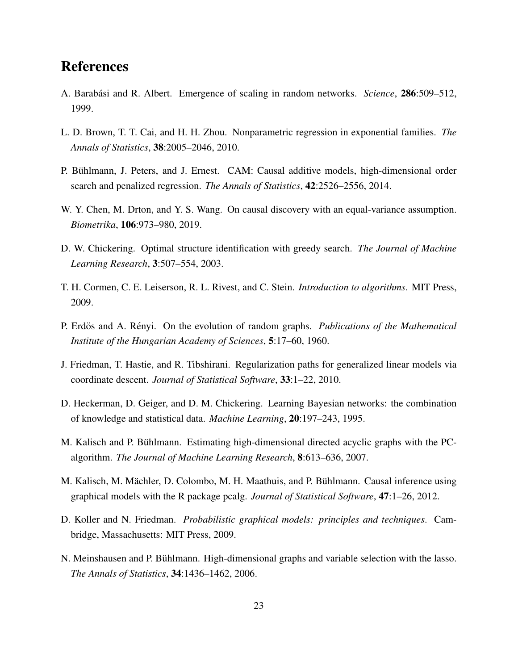## References

- <span id="page-22-12"></span>A. Barabási and R. Albert. Emergence of scaling in random networks. *Science*, **286**:509–512, 1999.
- <span id="page-22-5"></span>L. D. Brown, T. T. Cai, and H. H. Zhou. Nonparametric regression in exponential families. *The Annals of Statistics*, 38:2005–2046, 2010.
- <span id="page-22-4"></span>P. Bühlmann, J. Peters, and J. Ernest. CAM: Causal additive models, high-dimensional order search and penalized regression. *The Annals of Statistics*, 42:2526–2556, 2014.
- <span id="page-22-3"></span>W. Y. Chen, M. Drton, and Y. S. Wang. On causal discovery with an equal-variance assumption. *Biometrika*, 106:973–980, 2019.
- <span id="page-22-1"></span>D. W. Chickering. Optimal structure identification with greedy search. *The Journal of Machine Learning Research*, 3:507–554, 2003.
- <span id="page-22-6"></span>T. H. Cormen, C. E. Leiserson, R. L. Rivest, and C. Stein. *Introduction to algorithms*. MIT Press, 2009.
- <span id="page-22-11"></span>P. Erdös and A. Rényi. On the evolution of random graphs. *Publications of the Mathematical Institute of the Hungarian Academy of Sciences*, 5:17–60, 1960.
- <span id="page-22-9"></span>J. Friedman, T. Hastie, and R. Tibshirani. Regularization paths for generalized linear models via coordinate descent. *Journal of Statistical Software*, 33:1–22, 2010.
- <span id="page-22-7"></span>D. Heckerman, D. Geiger, and D. M. Chickering. Learning Bayesian networks: the combination of knowledge and statistical data. *Machine Learning*, 20:197–243, 1995.
- <span id="page-22-2"></span>M. Kalisch and P. Bühlmann. Estimating high-dimensional directed acyclic graphs with the PCalgorithm. *The Journal of Machine Learning Research*, 8:613–636, 2007.
- <span id="page-22-10"></span>M. Kalisch, M. Mächler, D. Colombo, M. H. Maathuis, and P. Bühlmann. Causal inference using graphical models with the R package pcalg. *Journal of Statistical Software*, 47:1–26, 2012.
- <span id="page-22-0"></span>D. Koller and N. Friedman. *Probabilistic graphical models: principles and techniques*. Cambridge, Massachusetts: MIT Press, 2009.
- <span id="page-22-8"></span>N. Meinshausen and P. Bühlmann. High-dimensional graphs and variable selection with the lasso. *The Annals of Statistics*, 34:1436–1462, 2006.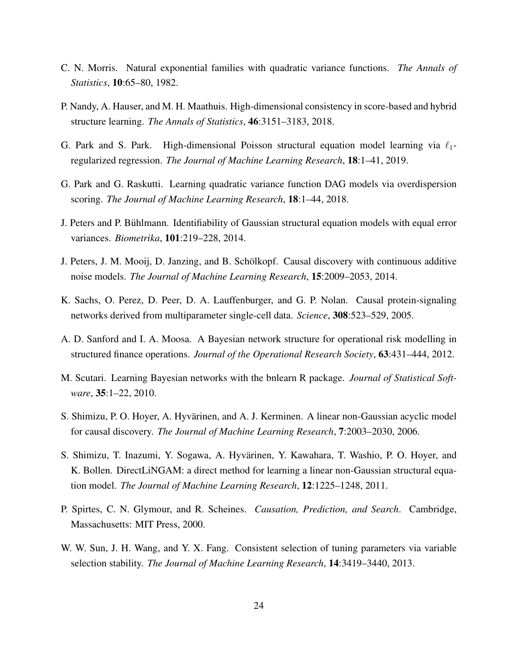- <span id="page-23-10"></span>C. N. Morris. Natural exponential families with quadratic variance functions. *The Annals of Statistics*, 10:65–80, 1982.
- <span id="page-23-3"></span>P. Nandy, A. Hauser, and M. H. Maathuis. High-dimensional consistency in score-based and hybrid structure learning. *The Annals of Statistics*, 46:3151–3183, 2018.
- <span id="page-23-9"></span>G. Park and S. Park. High-dimensional Poisson structural equation model learning via  $\ell_1$ regularized regression. *The Journal of Machine Learning Research*, 18:1–41, 2019.
- <span id="page-23-8"></span>G. Park and G. Raskutti. Learning quadratic variance function DAG models via overdispersion scoring. *The Journal of Machine Learning Research*, 18:1–44, 2018.
- <span id="page-23-4"></span>J. Peters and P. Buhlmann. Identifiability of Gaussian structural equation models with equal error ¨ variances. *Biometrika*, 101:219–228, 2014.
- <span id="page-23-7"></span>J. Peters, J. M. Mooij, D. Janzing, and B. Schölkopf. Causal discovery with continuous additive noise models. *The Journal of Machine Learning Research*, 15:2009–2053, 2014.
- <span id="page-23-0"></span>K. Sachs, O. Perez, D. Peer, D. A. Lauffenburger, and G. P. Nolan. Causal protein-signaling networks derived from multiparameter single-cell data. *Science*, 308:523–529, 2005.
- <span id="page-23-1"></span>A. D. Sanford and I. A. Moosa. A Bayesian network structure for operational risk modelling in structured finance operations. *Journal of the Operational Research Society*, 63:431–444, 2012.
- <span id="page-23-12"></span>M. Scutari. Learning Bayesian networks with the bnlearn R package. *Journal of Statistical Software*, 35:1–22, 2010.
- <span id="page-23-5"></span>S. Shimizu, P. O. Hoyer, A. Hyvärinen, and A. J. Kerminen. A linear non-Gaussian acyclic model for causal discovery. *The Journal of Machine Learning Research*, 7:2003–2030, 2006.
- <span id="page-23-6"></span>S. Shimizu, T. Inazumi, Y. Sogawa, A. Hyvarinen, Y. Kawahara, T. Washio, P. O. Hoyer, and ¨ K. Bollen. DirectLiNGAM: a direct method for learning a linear non-Gaussian structural equation model. *The Journal of Machine Learning Research*, 12:1225–1248, 2011.
- <span id="page-23-2"></span>P. Spirtes, C. N. Glymour, and R. Scheines. *Causation, Prediction, and Search*. Cambridge, Massachusetts: MIT Press, 2000.
- <span id="page-23-11"></span>W. W. Sun, J. H. Wang, and Y. X. Fang. Consistent selection of tuning parameters via variable selection stability. *The Journal of Machine Learning Research*, 14:3419–3440, 2013.